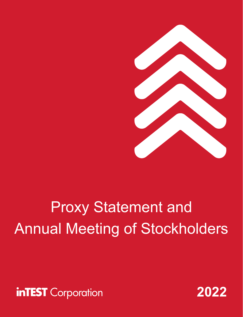

# Proxy Statement and Annual Meeting of Stockholders

**inTEST** Corporation

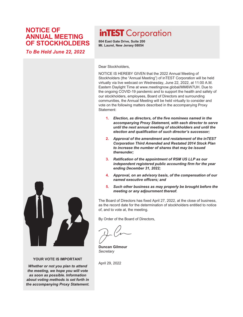## **NOTICE OF ANNUAL MEETING OF STOCKHOLDERS**

*To Be Held June 22, 2022*



#### **YOUR VOTE IS IMPORTANT**

*Whether or not you plan to attend the meeting, we hope you will vote as soon as possible. Information about voting methods is set forth in the accompanying Proxy Statement.*

# **inTEST** Corporation

**804 East Gate Drive, Suite 200 Mt. Laurel, New Jersey 08054**

Dear Stockholders,

NOTICE IS HEREBY GIVEN that the 2022 Annual Meeting of Stockholders (the "Annual Meeting") of inTEST Corporation will be held virtually via live webcast on Wednesday, June 22, 2022, at 11:00 A.M. Eastern Daylight Time at www.meetingnow.global/MM6W7UH. Due to the ongoing COVID-19 pandemic and to support the health and safety of our stockholders, employees, Board of Directors and surrounding communities, the Annual Meeting will be held virtually to consider and vote on the following matters described in the accompanying Proxy Statement:

- **1.** *Election, as directors, of the five nominees named in the accompanying Proxy Statement, with each director to serve until the next annual meeting of stockholders and until the election and qualification of such director's successor;*
- **2.** *Approval of the amendment and restatement of the inTEST Corporation Third Amended and Restated 2014 Stock Plan to increase the number of shares that may be issued thereunder;*
- **3.** *Ratification of the appointment of RSM US LLP as our independent registered public accounting firm for the year ending December 31, 2022;*
- **4.** *Approval, on an advisory basis, of the compensation of our named executive officers; and*
- **5.** *Such other business as may properly be brought before the meeting or any adjournment thereof.*

The Board of Directors has fixed April 27, 2022, at the close of business, as the record date for the determination of stockholders entitled to notice of, and to vote at, the meeting.

By Order of the Board of Directors,

**Duncan Gilmour** *Secretary*

April 29, 2022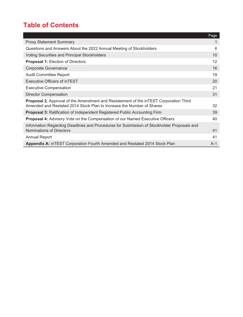## **Table of Contents**

|                                                                                                                                                                       | Page  |
|-----------------------------------------------------------------------------------------------------------------------------------------------------------------------|-------|
| <b>Proxy Statement Summary</b>                                                                                                                                        |       |
| Questions and Answers About the 2022 Annual Meeting of Stockholders                                                                                                   | 6     |
| <b>Voting Securities and Principal Stockholders</b>                                                                                                                   | 10    |
| <b>Proposal 1: Election of Directors</b>                                                                                                                              | 12    |
| Corporate Governance                                                                                                                                                  | 16    |
| <b>Audit Committee Report</b>                                                                                                                                         | 19    |
| Executive Officers of inTEST                                                                                                                                          | 20    |
| <b>Executive Compensation</b>                                                                                                                                         | 21    |
| <b>Director Compensation</b>                                                                                                                                          | 31    |
| <b>Proposal 2.</b> Approval of the Amendment and Restatement of the inTEST Corporation Third<br>Amended and Restated 2014 Stock Plan to Increase the Number of Shares | 32    |
| <b>Proposal 3: Ratification of Independent Registered Public Accounting Firm</b>                                                                                      | 39    |
| <b>Proposal 4:</b> Advisory Vote on the Compensation of our Named Executive Officers                                                                                  | 40    |
| Information Regarding Deadlines and Procedures for Submission of Stockholder Proposals and<br>Nominations of Directors                                                | 41    |
| <b>Annual Report</b>                                                                                                                                                  | 41    |
| <b>Appendix A:</b> inTEST Corporation Fourth Amended and Restated 2014 Stock Plan                                                                                     | $A-1$ |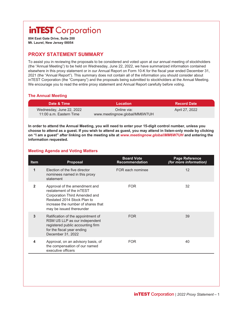# **inTEST** Corporation

<span id="page-3-0"></span>**804 East Gate Drive, Suite 200 Mt. Laurel, New Jersey 08054**

## **PROXY STATEMENT SUMMARY**

To assist you in reviewing the proposals to be considered and voted upon at our annual meeting of stockholders (the "Annual Meeting") to be held on Wednesday, June 22, 2022, we have summarized information contained elsewhere in this proxy statement or in our Annual Report on Form 10-K for the fiscal year ended December 31, 2021 (the "Annual Report"). This summary does not contain all of the information you should consider about inTEST Corporation (the "Company") and the proposals being submitted to stockholders at the Annual Meeting. We encourage you to read the entire proxy statement and Annual Report carefully before voting.

## **The Annual Meeting**

| Date & Time              | Location                      | <b>Record Date</b> |
|--------------------------|-------------------------------|--------------------|
| Wednesday, June 22, 2022 | Online via:                   | April 27, 2022     |
| 11:00 a.m. Eastern Time  | www.meetingnow.global/MM6W7UH |                    |

**In order to attend the Annual Meeting, you will need to enter your 15-digit control number, unless you choose to attend as a guest. If you wish to attend as guest, you may attend in listen-only mode by clicking on "I am a guest" after linking on the meeting site at** *www.meetingnow.global/MM6W7UH* **and entering the information requested.**

#### **Meeting Agenda and Voting Matters**

| <b>Item</b>  | <b>Proposal</b>                                                                                                                                                                              | <b>Board Vote</b><br><b>Recommendation</b> | <b>Page Reference</b><br>(for more information) |
|--------------|----------------------------------------------------------------------------------------------------------------------------------------------------------------------------------------------|--------------------------------------------|-------------------------------------------------|
| 1            | Election of the five director<br>nominees named in this proxy<br>statement                                                                                                                   | FOR each nominee                           | 12                                              |
| $\mathbf{2}$ | Approval of the amendment and<br>restatement of the inTEST<br>Corporation Third Amended and<br>Restated 2014 Stock Plan to<br>increase the number of shares that<br>may be issued thereunder | <b>FOR</b>                                 | 32                                              |
| 3            | Ratification of the appointment of<br>RSM US LLP as our independent<br>registered public accounting firm<br>for the fiscal year ending<br>December 31, 2022                                  | <b>FOR</b>                                 | 39                                              |
| 4            | Approval, on an advisory basis, of<br>the compensation of our named<br>executive officers                                                                                                    | <b>FOR</b>                                 | 40                                              |
|              |                                                                                                                                                                                              |                                            |                                                 |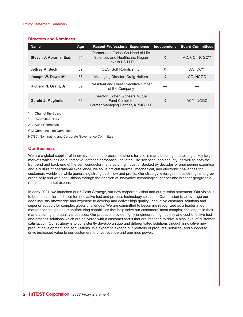#### **Directors and Nominees**

| <b>Name</b>               | Age | <b>Recent Professional Experience</b>                                                  | <b>Independent</b> | <b>Board Committees</b> |
|---------------------------|-----|----------------------------------------------------------------------------------------|--------------------|-------------------------|
| Steven J. Abrams, Esg.    | 54  | Partner and Global Co-Head of Life<br>Sciences and Healthcare, Hogan<br>Lovells US LLP | X                  | AC, CC, NCGC**          |
| Jeffrey A. Beck           | 59  | CEO. Soft Robotics Inc.                                                                | X                  | AC. CC**                |
| Joseph W. Dews IV*        | 55  | Managing Director, Craig-Hallum                                                        | X                  | CC. NCGC                |
| Richard N. Grant, Jr.     | 52  | <b>President and Chief Executive Officer</b><br>of the Company                         |                    |                         |
| <b>Gerald J. Maginnis</b> | 66  | Director, Cohen & Steers Mutual<br>Fund Complex,<br>Former Managing Partner, KPMG LLP  | X                  | AC**. NCGC              |

Chair of the Board

Committee Chair

AC: Audit Committee

CC: Compensation Committee

NCGC: Nominating and Corporate Governance Committee

#### **Our Business**

We are a global supplier of innovative test and process solutions for use in manufacturing and testing in key target markets which include automotive, defense/aerospace, industrial, life sciences, and security, as well as both the front-end and back-end of the semiconductor manufacturing industry. Backed by decades of engineering expertise and a culture of operational excellence, we solve difficult thermal, mechanical, and electronic challenges for customers worldwide while generating strong cash flow and profits. Our strategy leverages these strengths to grow organically and with acquisitions through the addition of innovative technologies, deeper and broader geographic reach, and market expansion.

In early 2021, we launched our 5-Point Strategy, our new corporate vision and our mission statement. Our vision is to be the supplier of choice for innovative test and process technology solutions. Our mission is to leverage our deep industry knowledge and expertise to develop and deliver high quality, innovative customer solutions and superior support for complex global challenges. We are committed to becoming recognized as a leader in our markets for design and manufacturing capabilities that help solve our customers' most complex challenges in their manufacturing and quality processes. Our products provide highly engineered, high quality and cost-effective test and process solutions which are delivered with a customer focus that are intended to drive a high level of customer satisfaction. Our strategy is to consistently develop unique and differentiated solutions through innovative new product development and acquisitions. We expect to expand our portfolio of products, services, and support to drive increased value to our customers to drive revenue and earnings power.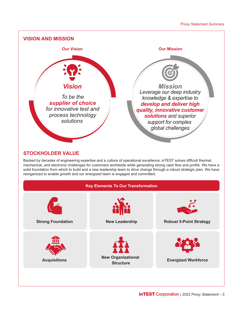#### Proxy Statement Summary



## **STOCKHOLDER VALUE**

Backed by decades of engineering expertise and a culture of operational excellence, inTEST solves difficult thermal, mechanical, and electronic challenges for customers worldwide while generating strong cash flow and profits. We have a solid foundation from which to build and a new leadership team to drive change through a robust strategic plan. We have reorganized to enable growth and our energized team is engaged and committed.

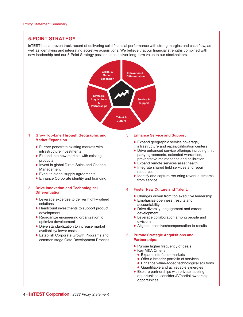## **5-POINT STRATEGY**

inTEST has a proven track record of delivering solid financial performance with strong margins and cash flow, as well as identifying and integrating accretive acquisitions. We believe that our financial strengths combined with new leadership and our 5-Point Strategy position us to deliver long-term value to our stockholders.



#### 1 **Grow Top-Line Through Geographic and Market Expansion**

- $\bullet$  Further penetrate existing markets with infrastructure investments
- $\bullet$  Expand into new markets with existing products
- Invest in global Direct Sales and Channel Management
- $\bullet$  Execute global supply agreements
- Enhance Corporate identity and branding

#### 2 **Drive Innovation and Technological Differentiation**

- Leverage expertise to deliver highly-valued solutions
- Headcount investments to support product development
- Reorganize engineering organization to optimize development
- $\bullet$  Drive standardization to increase market availability/ lower costs
- Establish Corporate Growth Programs and common stage Gate Development Process

#### 3 **Enhance Service and Support**

- $\bullet$  Expand geographic service coverage, infrastructure and repair/calibration centers
- Drive enhanced service offerings including third party agreements, extended warranties, preventative maintenance and calibration
- $\bullet$  Expand remote services asset health
- $\bullet$  Integrate shared field services and repair resources
- $\bullet$  Identify and capture recurring revenue streams from service

#### 4 **Foster New Culture and Talent:**

- Changes driven from top executive leadership
- Emphasize openness, results and accountability
- Drive diversity, engagement and career development
- Leverage collaboration among people and divisions
- Aligned incentives/compensation to results

#### 5 **Pursue Strategic Acquisitions and Partnerships:**

- $\bullet$  Pursue higher frequency of deals
- Key M&A Criteria:
	- $\bullet$  Expand into faster markets
	- Offer a broader portfolio of services
	- Enhance value-added technological solutions
	- Quantifiable and achievable synergies
- $\bullet$  Explore partnerships with private labeling opportunities; consider JV/partial ownership opportunities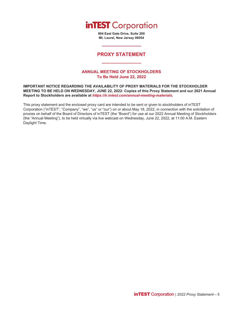

**804 East Gate Drive, Suite 200 Mt. Laurel, New Jersey 08054**

## **PROXY STATEMENT**

#### **ANNUAL MEETING OF STOCKHOLDERS To Be Held June 22, 2022**

**IMPORTANT NOTICE REGARDING THE AVAILABILITY OF PROXY MATERIALS FOR THE STOCKHOLDER MEETING TO BE HELD ON WEDNESDAY, JUNE 22, 2022: Copies of this Proxy Statement and our 2021 Annual Report to Stockholders are available at** *<https://ir.intest.com/annual-meeting-materials>***.**

This proxy statement and the enclosed proxy card are intended to be sent or given to stockholders of inTEST Corporation ("inTEST", "Company", "we", "us" or "our") on or about May 18, 2022, in connection with the solicitation of proxies on behalf of the Board of Directors of inTEST (the "Board") for use at our 2022 Annual Meeting of Stockholders (the "Annual Meeting"), to be held virtually via live webcast on Wednesday, June 22, 2022, at 11:00 A.M. Eastern Daylight Time.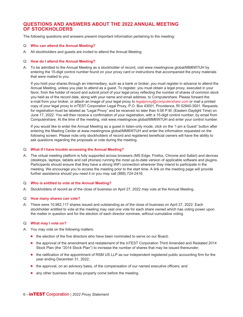## <span id="page-8-0"></span>**QUESTIONS AND ANSWERS ABOUT THE 2022 ANNUAL MEETING OF STOCKHOLDERS**

The following questions and answers present important information pertaining to the meeting:

#### Q: **Who can attend the Annual Meeting?**

A: All stockholders and guests are invited to attend the Annual Meeting.

#### Q: **How do I attend the Annual Meeting?**

A: To be admitted to the Annual Meeting as a stockholder of record, visit www.meetingnow.global/MM6W7UH by entering the 15-digit control number found on your proxy card or instructions that accompanied the proxy materials that were mailed to you.

If you hold your shares through an intermediary, such as a bank or broker, you must register in advance to attend the Annual Meeting, unless you plan to attend as a guest. To register, you must obtain a legal proxy, executed in your favor, from the holder of record and submit proof of your legal proxy reflecting the number of shares of common stock you held as of the record date, along with your name and email address, to Computershare. Please forward the e-mail from your broker, or attach an image of your legal proxy to *legalproxy@computershare.com* or mail a printed copy of your legal proxy to inTEST Corporation Legal Proxy, P.O. Box 43001, Providence, RI 02940-3001. Requests for registration must be labeled as "Legal Proxy" and be received no later than 5:00 P.M. (Eastern Daylight Time) on June 17, 2022. You will then receive a confirmation of your registration, with a 15-digit control number, by email from Computershare. At the time of the meeting, visit www.meetingnow.global/MM6W7UH and enter your control number.

If you would like to enter the Annual Meeting as a guest in listen-only mode, click on the "I am a Guest" button after entering the Meeting Center at www.meetingnow.global/MM6W7UH and enter the information requested on the following screen. Please note only stockholders of record and registered beneficial owners will have the ability to ask questions regarding the proposals or vote during the meeting.

#### Q: **What if I have trouble accessing the Annual Meeting?**

A: The virtual meeting platform is fully supported across browsers (MS Edge, Firefox, Chrome and Safari) and devices (desktops, laptops, tablets and cell phones) running the most up-to-date version of applicable software and plugins. Participants should ensure that they have a strong WiFi connection wherever they intend to participate in the meeting. We encourage you to access the meeting prior to the start time. A link on the meeting page will provide further assistance should you need it or you may call (888) 724-2416.

#### Q: **Who is entitled to vote at the Annual Meeting?**

A: Stockholders of record as of the close of business on April 27, 2022 may vote at the Annual Meeting.

#### Q: **How many shares can vote?**

A: There were 10,962,117 shares issued and outstanding as of the close of business on April 27, 2022. Each stockholder entitled to vote at the meeting may cast one vote for each share owned which has voting power upon the matter in question and for the election of each director nominee, without cumulative voting.

#### Q: **What may I vote on?**

- A: You may vote on the following matters:
	- $\bullet$  the election of the five directors who have been nominated to serve on our Board;
	- the approval of the amendment and restatement of the inTEST Corporation Third Amended and Restated 2014 Stock Plan (the "2014 Stock Plan") to increase the number of shares that may be issued thereunder;
	- the ratification of the appointment of RSM US LLP as our independent registered public accounting firm for the year ending December 31, 2022;
	- the approval, on an advisory basis, of the compensation of our named executive officers; and
	- $\bullet$  any other business that may properly come before the meeting.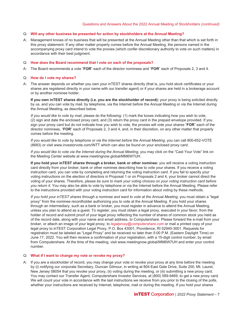#### Questions and Answers About the 2022 Annual Meeting of Stockholders *(continued)*

#### Q: **Will any other business be presented for action by stockholders at the Annual Meeting?**

A: Management knows of no business that will be presented at the Annual Meeting other than that which is set forth in this proxy statement. If any other matter properly comes before the Annual Meeting, the persons named in the accompanying proxy card intend to vote the proxies (which confer discretionary authority to vote on such matters) in accordance with their best judgment.

#### Q: **How does the Board recommend that I vote on each of the proposals?**

A: The Board recommends a vote "**FOR**" each of the director nominees and "**FOR**" each of Proposals 2, 3 and 4.

#### Q: **How do I vote my shares?**

A: The answer depends on whether you own your inTEST shares directly (that is, you hold stock certificates or your shares are registered directly in your name with our transfer agent) or if your shares are held in a brokerage account or by another nominee holder.

**If you own inTEST shares directly (i.e. you are the stockholder of record):** your proxy is being solicited directly by us, and you can vote by mail, by telephone, via the Internet before the Annual Meeting or via the Internet during the Annual Meeting, as described below.

*If you would like to vote by mail*, please do the following: (1) mark the boxes indicating how you wish to vote, (2) sign and date the enclosed proxy card, and (3) return the proxy card in the prepaid envelope provided. If you sign your proxy card but do not indicate how you wish to vote, the proxies will vote your shares "**FOR**" each of the director nominees, "**FOR**" each of Proposals 2, 3 and 4, and, in their discretion, on any other matter that properly comes before the meeting.

*If you would like to vote by telephone or via the Internet before the Annual Meeting*, you can call 800-652-VOTE (8683) or visit www.investorvote.com/INTT which can also be found on your enclosed proxy card.

*If you would like to vote via the Internet during the Annual Meeting,* you may click on the "Cast Your Vote" link on the Meeting Center website at www.meetingnow.global/MM6W7UH.

**If you hold your inTEST shares through a broker, bank or other nominee:** you will receive a voting instruction card directly from your broker, bank or other nominee describing how to vote your shares. If you receive a voting instruction card, you can vote by completing and returning the voting instruction card. If you fail to specify your voting instructions on the election of directors in Proposal 1 or on Proposals 2 and 4, your broker cannot direct the voting of your shares. Therefore, *please be sure to mark your voting choices on your voting instruction card before you return it*. You may also be able to vote by telephone or via the Internet before the Annual Meeting. Please refer to the instructions provided with your voting instruction card for information about voting by these methods.

*If you hold your inTEST shares through a nominee and want to vote at the Annual Meeting,* you must obtain a "legal proxy" from the nominee recordholder authorizing you to vote at the Annual Meeting. If you hold your shares through an intermediary, such as a bank or broker, you must register in advance to attend the Annual Meeting, unless you plan to attend as a guest. To register, you must obtain a legal proxy, executed in your favor, from the holder of record and submit proof of your legal proxy reflecting the number of shares of common stock you held as of the record date, along with your name and email address, to Computershare. Please forward the e-mail from your broker, or attach an image of your legal proxy, to *legalproxy@computershare.com* or mail a printed copy of your legal proxy to inTEST Corporation Legal Proxy, P.O. Box 43001, Providence, RI 02940-3001. Requests for registration must be labeled as "Legal Proxy" and be received no later than 5:00 P.M. (Eastern Daylight Time) on June 17, 2022. You will then receive a confirmation of your registration, with a 15-digit control number, by email from Computershare. At the time of the meeting, visit www.meetingnow.global/MM6W7UH and enter your control number.

#### Q: **What if I want to change my vote or revoke my proxy?**

A: If you are a stockholder of record, you may change your vote or revoke your proxy at any time before the meeting by (i) notifying our corporate Secretary, Duncan Gilmour, in writing at 804 East Gate Drive, Suite 200, Mt. Laurel, New Jersey 08054 that you revoke your proxy, (ii) voting during the meeting, or (iii) submitting a new proxy card. You may contact our Transfer Agent, Computershare Investor Services, at (800) 589-9469, to get a new proxy card. We will count your vote in accordance with the last instructions we receive from you prior to the closing of the polls, whether your instructions are received by Internet, telephone, mail or during the meeting. If you hold your shares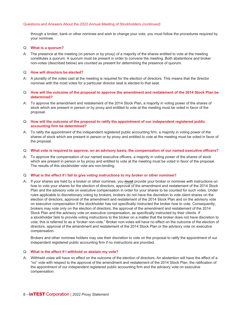#### Questions and Answers About the 2022 Annual Meeting of Stockholders *(continued)*

through a broker, bank or other nominee and wish to change your vote, you must follow the procedures required by your nominee.

#### Q: **What is a quorum?**

A: The presence at the meeting (in person or by proxy) of a majority of the shares entitled to vote at the meeting constitutes a quorum. A quorum must be present in order to convene the meeting. Both abstentions and broker non-votes (described below) are counted as present for determining the presence of quorum.

#### Q: **How will directors be elected?**

- A: A plurality of the votes cast at the meeting is required for the election of directors. This means that the director nominee with the most votes for a particular director seat is elected to that seat.
- Q: **How will the outcome of the proposal to approve the amendment and restatement of the 2014 Stock Plan be determined?**
- A: To approve the amendment and restatement of the 2014 Stock Plan, a majority in voting power of the shares of stock which are present in person or by proxy and entitled to vote at the meeting must be voted in favor of the proposal.
- Q: **How will the outcome of the proposal to ratify the appointment of our independent registered public accounting firm be determined?**
- A: To ratify the appointment of the independent registered public accounting firm, a majority in voting power of the shares of stock which are present in person or by proxy and entitled to vote at the meeting must be voted in favor of the proposal.

#### Q: **What vote is required to approve, on an advisory basis, the compensation of our named executive officers?**

A: To approve the compensation of our named executive officers, a majority in voting power of the shares of stock which are present in person or by proxy and entitled to vote at the meeting must be voted in favor of the proposal. The results of this stockholder vote are non-binding.

#### Q: **What is the effect if I fail to give voting instructions to my broker or other nominee?**

A: If your shares are held by a broker or other nominee, you **must** provide your broker or nominee with instructions on how to vote your shares for the election of directors, approval of the amendment and restatement of the 2014 Stock Plan and the advisory vote on executive compensation in order for your shares to be counted for such votes. Under rules applicable to discretionary voting by brokers, brokers do not have the discretion to vote client shares on the election of directors, approval of the amendment and restatement of the 2014 Stock Plan and on the advisory vote on executive compensation if the stockholder has not specifically instructed the broker how to vote. Consequently, brokers may vote only on the election of directors, the approval of the amendment and restatement of the 2014 Stock Plan and the advisory vote on executive compensation, as specifically instructed by their clients. If a stockholder fails to provide voting instructions to the broker on a matter that the broker does not have discretion to vote, this is referred to as a "broker non-vote." Broker non-votes will have no effect on the outcome of the election of directors, approval of the amendment and restatement of the 2014 Stock Plan or the advisory vote on executive compensation.

Brokers and other nominee holders may use their discretion to vote on the proposal to ratify the appointment of our independent registered public accounting firm if no instructions are provided.

#### Q: **What is the effect if I withhold or abstain my vote?**

A: Withheld votes will have no effect on the outcome of the election of directors. An abstention will have the effect of a "no" vote with respect to the approval of the amendment and restatement of the 2014 Stock Plan*,* the ratification of the appointment of our independent registered public accounting firm and the advisory vote on executive compensation.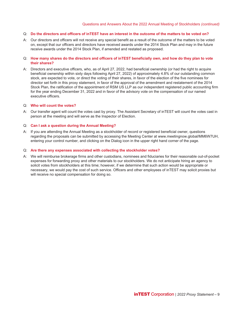#### Questions and Answers About the 2022 Annual Meeting of Stockholders *(continued)*

#### Q: **Do the directors and officers of inTEST have an interest in the outcome of the matters to be voted on?**

A: Our directors and officers will not receive any special benefit as a result of the outcome of the matters to be voted on, except that our officers and directors have received awards under the 2014 Stock Plan and may in the future receive awards under the 2014 Stock Plan, if amended and restated as proposed.

#### Q: **How many shares do the directors and officers of inTEST beneficially own, and how do they plan to vote their shares?**

A: Directors and executive officers, who, as of April 27, 2022, had beneficial ownership (or had the right to acquire beneficial ownership within sixty days following April 27, 2022) of approximately 4.8% of our outstanding common stock, are expected to vote, or direct the voting of their shares, in favor of the election of the five nominees for director set forth in this proxy statement, in favor of the approval of the amendment and restatement of the 2014 Stock Plan, the ratification of the appointment of RSM US LLP as our independent registered public accounting firm for the year ending December 31, 2022 and in favor of the advisory vote on the compensation of our named executive officers.

#### Q: **Who will count the votes?**

A: Our transfer agent will count the votes cast by proxy. The Assistant Secretary of inTEST will count the votes cast in person at the meeting and will serve as the Inspector of Election.

#### Q: **Can I ask a question during the Annual Meeting?**

A: If you are attending the Annual Meeting as a stockholder of record or registered beneficial owner, questions regarding the proposals can be submitted by accessing the Meeting Center at www.meetingnow.global/MM6W7UH, entering your control number, and clicking on the Dialog icon in the upper right hand corner of the page.

#### Q: **Are there any expenses associated with collecting the stockholder votes?**

A: We will reimburse brokerage firms and other custodians, nominees and fiduciaries for their reasonable out-of-pocket expenses for forwarding proxy and other materials to our stockholders. We do not anticipate hiring an agency to solicit votes from stockholders at this time; however, if we determine that such action would be appropriate or necessary, we would pay the cost of such service. Officers and other employees of inTEST may solicit proxies but will receive no special compensation for doing so.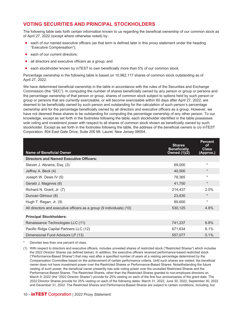## <span id="page-12-0"></span>**VOTING SECURITIES AND PRINCIPAL STOCKHOLDERS**

The following table sets forth certain information known to us regarding the beneficial ownership of our common stock as of April 27, 2022 (except where otherwise noted) by:

- each of our named executive officers (as that term is defined later in this proxy statement under the heading "Executive Compensation");
- $\bullet$  each of our current directors;
- $\bullet$  all directors and executive officers as a group; and
- each stockholder known by inTEST to own beneficially more than 5% of our common stock.

Percentage ownership in the following table is based on 10,962,117 shares of common stock outstanding as of April 27, 2022.

We have determined beneficial ownership in the table in accordance with the rules of the Securities and Exchange Commission (the "SEC"). In computing the number of shares beneficially owned by any person or group or persons and the percentage ownership of that person or group, shares of common stock subject to options held by such person or group or persons that are currently exercisable, or will become exercisable within 60 days after April 27, 2022, are deemed to be beneficially owned by such person and outstanding for the calculation of such person's percentage ownership and for the percentage beneficially owned by all directors and executive officers as a group. However, we have not deemed these shares to be outstanding for computing the percentage ownership of any other person. To our knowledge, except as set forth in the footnotes following the table, each stockholder identified in the table possesses sole voting and investment power with respect to all shares of common stock shown as beneficially owned by such stockholder. Except as set forth in the footnotes following the table, the address of the beneficial owners is c/o inTEST Corporation, 804 East Gate Drive, Suite 200 Mt. Laurel, New Jersey 08054.

| <b>Name of Beneficial Owner</b>                                      | <b>Shares</b><br><b>Beneficially</b><br><b>Owned (1)(2)</b> | <b>Percent</b><br>οf<br><b>Class</b><br>(Approx.) |
|----------------------------------------------------------------------|-------------------------------------------------------------|---------------------------------------------------|
| <b>Directors and Named Executive Officers:</b>                       |                                                             |                                                   |
| Steven J. Abrams, Esq. (3)                                           | 69,000                                                      | $\star$                                           |
| Jeffrey A. Beck (4)                                                  | 40,500                                                      | $^\star$                                          |
| Joseph W. Dews IV (5)                                                | 78,365                                                      | $\star$                                           |
| Gerald J. Maginnis (6)                                               | 41,750                                                      | $\star$                                           |
| Richard N. Grant, Jr. (7)                                            | 214,437                                                     | 2.0%                                              |
| Duncan Gilmour (8)                                                   | 23,830                                                      | $\star$                                           |
| Hugh T. Regan, Jr. (9)                                               | 89,600                                                      | $\star$                                           |
| All directors and executive officers as a group (9 individuals) (10) | 530,125                                                     | 4.8%                                              |
| <b>Principal Stockholders:</b>                                       |                                                             |                                                   |
| Renaissance Technologies LLC (11)                                    | 741,237                                                     | 6.8%                                              |
| Pacific Ridge Capital Partners LLC (12)                              | 671,634                                                     | 6.1%                                              |
| Dimensional Fund Advisors LP (13)                                    | 557,077                                                     | 5.1%                                              |

Denotes less than one percent of class.

(1) With respect to directors and executive officers, includes unvested shares of restricted stock ("Restricted Shares") which includes the 2022 Director Shares (as defined below). In addition, the executive officers received performance-based restricted stock ("Performance-Based Shares") that may vest after a specified number of years at a vesting percentage determined by the Compensation Committee based on the achievement of certain performance criteria. Until such shares are vested, the beneficial owner does not have investment power over the Restricted Shares or Performance-Based Shares. Notwithstanding the future vesting of such power, the beneficial owner presently has sole voting power over the unvested Restricted Shares and the Performance-Based Shares. The Restricted Shares, other than the Restricted Shares granted to non-employee directors on March 9, 2022 (the "2022 Director Shares") provide for 25% vesting on each of the first four anniversaries of the grant date. The 2022 Director Shares provide for 25% vesting on each of the following dates: March 31, 2022, June 30, 2022, September 30, 2022 and December 31, 2022. The Restricted Shares and Performance-Based Shares are subject to certain conditions, including, but

#### 10 – **inTEST Corporation** | *2022 Proxy Statement*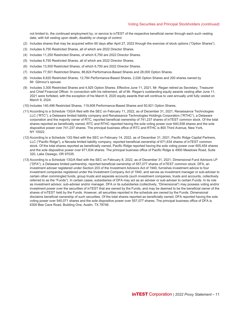not limited to, the continued employment by, or service to inTEST of the respective beneficial owner through each such vesting date, with full vesting upon death, disability or change of control.

- (2) Includes shares that may be acquired within 60 days after April 27, 2022 through the exercise of stock options ("Option Shares").
- (3) Includes 6,750 Restricted Shares, all of which are 2022 Director Shares.
- (4) Includes 11,250 Restricted Shares, of which 6,750 are 2022 Director Shares.
- (5) Includes 6,750 Restricted Shares, all of which are 2022 Director Shares.
- (6) Includes 13,500 Restricted Shares, of which 6,750 are 2022 Director Shares.
- (7) Includes 77,501 Restricted Shares, 88,824 Performance-Based Shares and 28,000 Option Shares.
- (8) Includes 8,820 Restricted Shares, 12,784 Performance-Based Shares, 2,026 Option Shares and 200 shares owned by Mr. Gilmour's spouse.
- (9) Includes 3,300 Restricted Shares and 4,925 Option Shares. Effective June 11, 2021, Mr. Regan retired as Secretary, Treasurer and Chief Financial Officer. In connection with his retirement, all of Mr. Regan's outstanding equity awards vesting after June 11, 2021 were forfeited, with the exception of his March 9, 2020 equity awards that will continue to vest annually until fully vested on March 9, 2024.
- (10) Includes 140,496 Restricted Shares, 119,608 Performance-Based Shares and 50,921 Option Shares.
- (11) According to a Schedule 13G/A filed with the SEC on February 11, 2022, as of December 31, 2021, Renaissance Technologies LLC ("RTC"), a Delaware limited liability company and Renaissance Technologies Holdings Corporation ("RTHC"), a Delaware corporation and the majority owner of RTC, reported beneficial ownership of 741,237 shares of inTEST common stock. Of the total shares reported as beneficially owned, RTC and RTHC reported having the sole voting power over 640,938 shares and the sole dispositive power over 741,237 shares. The principal business office of RTC and RTHC is 800 Third Avenue, New York, NY 10022.
- (12) According to a Schedule 13G filed with the SEC on February 14, 2022, as of December 31, 2021, Pacific Ridge Capital Partners, LLC ("Pacific Ridge"), a Nevada limited liability company, reported beneficial ownership of 671,634 shares of inTEST common stock. Of the total shares reported as beneficially owned, Pacific Ridge reported having the sole voting power over 605,454 shares and the sole dispositive power over 671,634 shares. The principal business office of Pacific Ridge is 4900 Meadows Road, Suite 320, Lake Oswego, OR 97035.
- (13) According to a Schedule 13G/A filed with the SEC on February 8, 2022, as of December 31, 2021, Dimensional Fund Advisors LP ("DFA"), a Delaware limited partnership, reported beneficial ownership of 557,077 shares of inTEST common stock. DFA, an investment adviser registered under Section 203 of the Investment Advisors Act of 1940, furnishes investment advice to four investment companies registered under the Investment Company Act of 1940, and serves as investment manager or sub-adviser to certain other commingled funds, group trusts and separate accounts (such investment companies, trusts and accounts, collectively referred to as the "Funds"). In certain cases, subsidiaries of DFA may act as an adviser or sub-adviser to certain Funds. In its role as investment advisor, sub-adviser and/or manager, DFA or its subsidiaries (collectively, "Dimensional") may possess voting and/or investment power over the securities of inTEST that are owned by the Funds, and may be deemed to be the beneficial owner of the shares of inTEST held by the Funds. However, all securities reported in the schedule are owned by the Funds. Dimensional disclaims beneficial ownership of such securities. Of the total shares reported as beneficially owned, DFA reported having the sole voting power over 540,071 shares and the sole dispositive power over 557,077 shares. The principal business office of DFA is 6300 Bee Cave Road, Building One, Austin, TX 78746.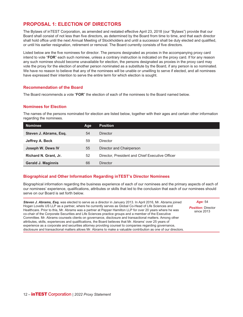## <span id="page-14-0"></span>**PROPOSAL 1: ELECTION OF DIRECTORS**

The Bylaws of inTEST Corporation, as amended and restated effective April 23, 2018 (our "Bylaws") provide that our Board shall consist of not less than five directors, as determined by the Board from time to time, and that each director shall hold office until the next Annual Meeting of Stockholders and until a successor shall be duly elected and qualified, or until his earlier resignation, retirement or removal. The Board currently consists of five directors.

Listed below are the five nominees for director. The persons designated as proxies in the accompanying proxy card intend to vote "**FOR**" each such nominee, unless a contrary instruction is indicated on the proxy card. If for any reason any such nominee should become unavailable for election, the persons designated as proxies in the proxy card may vote the proxy for the election of another person nominated as a substitute by the Board, if any person is so nominated. We have no reason to believe that any of the nominees will be unable or unwilling to serve if elected, and all nominees have expressed their intention to serve the entire term for which election is sought.

#### **Recommendation of the Board**

The Board recommends a vote "**FOR**" the election of each of the nominees to the Board named below.

#### **Nominees for Election**

The names of the persons nominated for election are listed below, together with their ages and certain other information regarding the nominees.

| <b>Nominee</b>            | Age | <b>Position</b>                                 |
|---------------------------|-----|-------------------------------------------------|
| Steven J. Abrams, Esq.    | 54  | <b>Director</b>                                 |
| Jeffrey A. Beck           | 59  | <b>Director</b>                                 |
| Joseph W. Dews IV         | 55  | Director and Chairperson                        |
| Richard N. Grant, Jr.     | 52  | Director, President and Chief Executive Officer |
| <b>Gerald J. Maginnis</b> | 66  | <b>Director</b>                                 |

#### **Biographical and Other Information Regarding inTEST's Director Nominees**

Biographical information regarding the business experience of each of our nominees and the primary aspects of each of our nominees' experience, qualifications, attributes or skills that led to the conclusion that each of our nominees should serve on our Board is set forth below.

| <b>Steven J. Abrams, Esq.</b> was elected to serve as a director in January 2013. In April 2016, Mr. Abrams joined                                                                                                                                                                                                          | Age: 54                                 |
|-----------------------------------------------------------------------------------------------------------------------------------------------------------------------------------------------------------------------------------------------------------------------------------------------------------------------------|-----------------------------------------|
| Hogan Lovells US LLP as a partner, where he currently serves as Global Co-Head of Life Sciences and<br>Healthcare. Prior to this, Mr. Abrams was a partner at Pepper Hamilton LLP for over 20 years where he was                                                                                                            | <b>Position: Director</b><br>since 2013 |
| co-chair of the Corporate Securities and Life Sciences practice groups and a member of the Executive<br>Committee. Mr. Abrams counsels clients on governance, disclosure and transactional matters. Among other<br>attributes, skills, experiences and qualifications, the Board believes that Mr. Abrams' over 25 years of |                                         |
| experience as a corporate and securities attorney providing counsel to companies regarding governance,<br>disclosure and transactional matters allows Mr. Abrams to make a valuable contribution as one of our directors.                                                                                                   |                                         |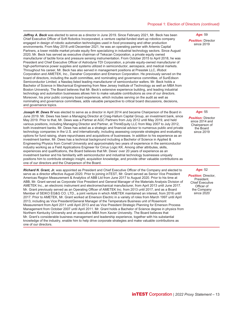#### Proposal 1: Election of Directors *(continued)*

*Jeffrey A. Beck* was elected to serve as a director in June 2019. Since February 2021, Mr. Beck has been Chief Executive Officer of Soft Robotics Incorporated, a venture capital-funded start-up robotics company engaged in design of robotic automation technologies used in food processing and other production environments. From May 2018 until December 2021, he was an operating partner with Artemis Capital Partners, a lower middle market private equity firm specializing in industrial technology sectors. Since August 2020, Mr. Beck has served as executive chairman of Tekscan Corporation, a private equity owned manufacturer of tactile force and pressure sensing instrumentation. From October 2015 to April 2018, he was President and Chief Executive Officer of Astrodyne TDI Corporation, a private equity-owned manufacturer of high-performance power supplies and systems utilized in semiconductor, aerospace, and medical markets. Throughout his career, Mr. Beck has also served in management positions at Presstek LLC, iRobot Corporation and AMETEK, Inc., Danaher Corporation and Emerson Corporation. He previously served on the board of directors, including the audit committee, and nominating and governance committee, of SunEdison Semiconductor Limited, a Nasdaq listed leading manufacturer of semiconductor wafers. Mr. Beck holds a Bachelor of Science in Mechanical Engineering from New Jersey Institute of Technology as well an MBA from Boston University. The Board believes that Mr. Beck's extensive experience building, and leading industrial technology and automation businesses allows him to make valuable contributions as one of our directors. Moreover, his prior public company board experience, which includes serving on the audit as well as nominating and governance committees, adds valuable perspective to critical board discussions, decisions, and governance topics.

Joseph W. Dews IV was elected to serve as a director in April 2014 and became Chairperson of the Board in June 2019. Mr. Dews has been a Managing Director at Craig-Hallum Capital Group, an investment bank, since May 2019. Prior to that, Mr. Dews was a Partner at AGC Partners from July 2012 until May 2019, and held various positions, including Managing Director and Partner, at ThinkEquity LLC from May 2007 to July 2012, both investment banks. Mr. Dews has acted as a strategic and financial advisor to numerous public and private technology companies in the U.S. and internationally, including assessing corporate strategies and evaluating options for fund raising, share repurchases and acquisitions of businesses. In addition to his experience as an investment banker, Mr. Dews has a technical background including a Bachelor of Science in Applied & Engineering Physics from Cornell University and approximately two years of experience in the semiconductor industry working as a Field Applications Engineer for Cirrus Logic KK. Among other attributes, skills, experiences and qualifications, the Board believes that Mr. Dews' over 20 years of experience as an investment banker and his familiarity with semiconductor and industrial technology businesses uniquely positions him to contribute strategic insight, acquisition knowledge, and provide other valuable contributions as one of our directors and the Chairperson of the Board.

*Richard N. Grant, Jr.* was appointed as President and Chief Executive Officer of the Company and elected to serve as a director effective August 2020. Prior to joining inTEST, Mr. Grant served as Senior Vice President Americas Region Measurement & Analytics of ABB Ltd from June 2017 to August 2020. Prior to his time at ABB, Mr. Grant served as Corporate Vice President and General Manager of the Materials Analysis Division of AMETEK Inc., an electronic instrument and electromechanical manufacturer, from April 2013 until June 2017. Mr. Grant previously served as an Operating Officer of AMETEK Inc. from 2013 until 2017, and as a Board Member of SEIKO EG&G CO. LTD., a joint venture in which AMETEK maintained an interest, from 2016 until 2017. Prior to AMETEK, Mr. Grant worked at Emerson Electric in a variety of roles from March 1997 until April 2013, including as Vice President/General Manager of the Temperature Business unit of Rosemont Measurement from April 2011 until April 2013 and as Vice President Strategic Planning for Emerson Process Management from October 2007 until April 2011. Mr. Grant holds a Bachelor of Science degree in physics from Northern Kentucky University and an executive MBA from Xavier University. The Board believes that Mr. Grant's considerable business management and leadership experience, together with his substantial knowledge of the industry, enable him to help drive corporate strategies and make valuable contributions as one of our directors.

*Age:* 59

**Position: Director** since 2019

#### *Age:* 55

**Position:** Director since 2014 and Chairperson of the Board since 2019

#### *Age:* 52

*Position:* Director, President, Chief Executive Officer of the Company since 2020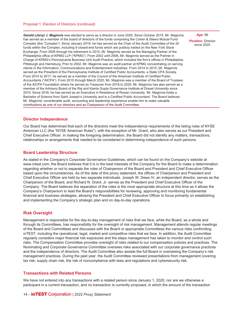#### Proposal 1: Election of Directors *(continued)*

*Gerald (Jerry) J. Maginnis* was elected to serve as a director in June 2020. Since October 2015, Mr. Maginnis has served as a member of the board of directors of the funds comprising the Cohen & Steers Mutual Fund Complex (the "Complex"). Since January 2019, he has served as the Chair of the Audit Committee of the 20 funds within the Complex, including 9 closed-end funds which are publicly traded on the New York Stock Exchange. From 2006 through his retirement in 2015, Mr. Maginnis served as the Managing Partner of the Philadelphia office of KPMG LLP ("KPMG"). From 2002 until 2008, Mr. Maginnis served as the Partner in Charge of KPMG's Pennsylvania Business Unit Audit Practice, which included the firm's offices in Philadelphia, Pittsburgh and Harrisburg. Prior to 2002, Mr. Maginnis was an audit partner at KPMG concentrating on serving clients in the Information, Communications and Entertainment industries. From 2014 to 2015, Mr. Maginnis served as the President of the Pennsylvania Institute of Certified Public Accountants, a State CPA Society. From 2014 to 2017, he served as a member of the Council of the American Institute of Certified Public Accountants ("AICPA"). From 2015 through March 2020, Mr. Maginnis was a member of the Board of Trustees of the AICPA Foundation where he served as Treasurer from 2018 to 2020. Mr. Maginnis has also served as a member of the Advisory Board of the Raj and Kamla Gupta Governance Institute at Drexel University since 2010. Since 2016, he has served as an Executive in Residence at Rowan University. Mr. Maginnis holds a Bachelor of Science from Saint Joseph's University and is a Certified Public Accountant. The Board believes Mr. Maginnis' considerable audit, accounting and leadership experience enable him to make valuable contributions as one of our directors and as Chairperson of the Audit Committee.

#### **Director Independence**

Our Board has determined that each of the directors meet the independence requirements of the listing rules of NYSE American LLC (the "NYSE American Rules"), with the exception of Mr. Grant, who also serves as our President and Chief Executive Officer. In making the foregoing determination, the Board did not identify any matters, transactions, relationships or arrangements that needed to be considered in determining independence of such persons.

#### **Board Leadership Structure**

As stated in the Company's Corporate Governance Guidelines, which can be found on the Company's website at www.intest.com, the Board believes that it is in the best interests of the Company for the Board to make a determination regarding whether or not to separate the roles of Chairperson of the Board and President and Chief Executive Officer based upon the circumstances. As of the date of this proxy statement, the offices of Chairperson and President and Chief Executive Officer are held by two separate individuals. Joseph W. Dews IV, an independent director, serves as the Chairperson of the Board, and Richard N. Grant, Jr. serves as the President and Chief Executive Officer of the Company. The Board believes the separation of the roles is the most appropriate structure at this time as it allows the Company's Chairperson to lead the Board's responsibilities for reviewing, approving and monitoring fundamental financial and business strategies, allowing the President and Chief Executive Officer to focus primarily on establishing and implementing the Company's strategic plan and on day-to-day operations.

#### **Risk Oversight**

Management is responsible for the day-to-day management of risks that we face, while the Board, as a whole and through its Committees, has responsibility for the oversight of risk management. Management attends regular meetings of the Board and Committees and discusses with the Board or appropriate Committees the various risks confronting inTEST, including the operational, legal, market and competitive risks that we face. In addition, the Audit Committee regularly considers major financial risk exposures and the steps management has taken to monitor and control such risks. The Compensation Committee provides oversight of risks related to our compensation policies and practices. The Nominating and Corporate Governance Committee oversees risks associated with our corporate governance practices and the independence of directors. The Audit Committee also assists the full Board in overseeing the Company's risk management practices. During the past year, the Audit Committee reviewed presentations from management covering tax risk, supply chain risk, the risk of noncompliance with laws and regulations and cybersecurity risk.

#### **Transactions with Related Persons**

We have not entered into any transactions with a related person since January 1, 2020, nor are we otherwise a participant in a current transaction, and no transaction is currently proposed, in which the amount of the transaction

#### 14 – **inTEST Corporation** | *2022 Proxy Statement*

*Age:* 66

**Position: Director** since 2020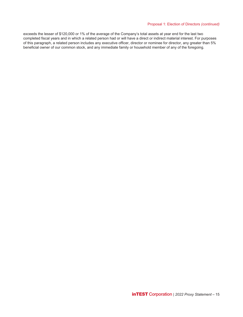#### Proposal 1: Election of Directors *(continued)*

exceeds the lesser of \$120,000 or 1% of the average of the Company's total assets at year end for the last two completed fiscal years and in which a related person had or will have a direct or indirect material interest. For purposes of this paragraph, a related person includes any executive officer, director or nominee for director, any greater than 5% beneficial owner of our common stock, and any immediate family or household member of any of the foregoing.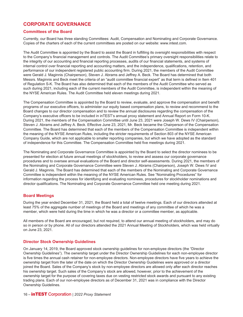## <span id="page-18-0"></span>**CORPORATE GOVERNANCE**

#### **Committees of the Board**

Currently, our Board has three standing Committees: Audit, Compensation and Nominating and Corporate Governance. Copies of the charters of each of the current committees are posted on our website: www.intest.com.

The Audit Committee is appointed by the Board to assist the Board in fulfilling its oversight responsibilities with respect to the Company's financial management and controls. The Audit Committee's primary oversight responsibilities relate to the integrity of our accounting and financial reporting processes, audits of our financial statements, and systems of internal control over financial reporting and accounting matters, and the independence, qualifications, retention, and performance of our independent registered public accounting firm. During 2021, the members of the Audit Committee were Gerald J. Maginnis (Chairperson), Steven J. Abrams and Jeffrey A. Beck. The Board has determined that both Messrs. Maginnis and Beck meet the criteria of an "audit committee financial expert" as that term is defined in Item 401 of Regulation S-K. The Board has also determined that each of the members of the Audit Committee who served as such during 2021, including each of the current members of the Audit Committee, is independent within the meaning of the NYSE American Rules. The Audit Committee held eleven meetings during 2021.

The Compensation Committee is appointed by the Board to review, evaluate, and approve the compensation and benefit programs of our executive officers, to administer our equity based compensation plans, to review and recommend to the Board changes to our director compensation and to review the annual disclosures regarding the compensation of the Company's executive officers to be included in inTEST's annual proxy statement and Annual Report on Form 10-K. During 2021, the members of the Compensation Committee until June 23, 2021 were Joseph W. Dews IV (Chairperson), Steven J. Abrams and Jeffrey A. Beck. Effective June 23, 2021, Mr. Beck became the Chairperson of the Compensation Committee. The Board has determined that each of the members of the Compensation Committee is independent within the meaning of the NYSE American Rules, including the stricter requirements of Section 803 of the NYSE American Company Guide, which are not applicable to smaller reporting companies, but which we have adopted as the standard of independence for this Committee. The Compensation Committee held five meetings during 2021.

The Nominating and Corporate Governance Committee is appointed by the Board to select the director nominees to be presented for election at future annual meetings of stockholders, to review and assess our corporate governance procedures and to oversee annual evaluations of the Board and director self-assessments. During 2021, the members of the Nominating and Corporate Governance Committee were Steven J. Abrams (Chairperson), Joseph W. Dews IV and Gerald J. Maginnis. The Board has determined that each of the members of the Nominating and Corporate Governance Committee is independent within the meaning of the NYSE American Rules. See "Nominating Procedures" for information regarding the process for identifying and evaluating nominees, procedures for stockholder nominations and director qualifications. The Nominating and Corporate Governance Committee held one meeting during 2021.

#### **Board Meetings**

During the year ended December 31, 2021, the Board held a total of twelve meetings. Each of our directors attended at least 75% of the aggregate number of meetings of the Board and meetings of any committee of which he was a member, which were held during the time in which he was a director or a committee member, as applicable.

All members of the Board are encouraged, but not required, to attend our annual meeting of stockholders, and may do so in person or by phone. All of our directors attended the 2021 Annual Meeting of Stockholders, which was held virtually on June 23, 2021.

#### **Director Stock Ownership Guidelines**

On January 14, 2019, the Board approved stock ownership guidelines for non-employee directors (the "Director Ownership Guidelines"). The ownership target under the Director Ownership Guidelines for each non-employee director is five times the annual cash retainer for non-employee directors. Non-employee directors have five years to achieve the ownership target from the later of the date on which the Director Ownership Guidelines were approved or a director joined the Board. Sales of the Company's stock by non-employee directors are allowed only after each director reaches his ownership target. Such sales of the Company's stock are allowed, however, prior to the achievement of the ownership target for the purpose of covering taxes due on vesting restricted stock awards and pursuant to any existing trading plans. Each of our non-employee directors as of December 31, 2021 was in compliance with the Director Ownership Guidelines.

#### 16 – **inTEST Corporation** | *2022 Proxy Statement*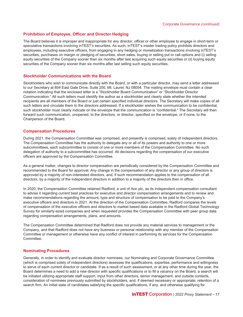#### **Prohibition of Employee, Officer and Director Hedging**

The Board believes it is improper and inappropriate for any director, officer or other employee to engage in short-term or speculative transactions involving inTEST's securities. As such, inTEST's insider trading policy prohibits directors and employees, including executive officers, from engaging in any hedging or monetization transactions involving inTEST's securities, purchases on margin or pledging of securities, short sales, buying or selling put or call options and (i) selling equity securities of the Company sooner than six months after last acquiring such equity securities or (ii) buying equity securities of the Company sooner than six months after last selling such equity securities.

#### **Stockholder Communications with the Board**

Stockholders who wish to communicate directly with the Board, or with a particular director, may send a letter addressed to our Secretary at 804 East Gate Drive, Suite 200, Mt. Laurel, NJ 08054. The mailing envelope must contain a clear notation indicating that the enclosed letter is a "Stockholder Board Communication" or "Stockholder Director Communication." All such letters must identify the author as a stockholder and clearly state whether the intended recipients are all members of the Board or just certain specified individual directors. The Secretary will make copies of all such letters and circulate them to the directors addressed. If a stockholder wishes the communication to be confidential, such stockholder must clearly indicate on the envelope that the communication is "confidential." The Secretary will then forward such communication, unopened, to the directors, or director, specified on the envelope, or if none, to the Chairperson of the Board.

#### **Compensation Procedures**

During 2021, the Compensation Committee was comprised, and presently is comprised, solely of independent directors. The Compensation Committee has the authority to delegate any or all of its powers and authority to one or more subcommittees, each subcommittee to consist of one or more members of the Compensation Committee. No such delegation of authority to a subcommittee has occurred. All decisions regarding the compensation of our executive officers are approved by the Compensation Committee.

As a general matter, changes to director compensation are periodically considered by the Compensation Committee and recommended to the Board for approval. Any change in the compensation of any director or any group of directors is approved by a majority of non-interested directors, and, if such recommendation applies to the compensation of all directors, by a majority of the independent directors in addition to a majority of the directors then in office.

In 2020, the Compensation Committee retained Radford, a unit of Aon plc, as its independent compensation consultant to advise it regarding current best practices for executive and director compensation arrangements and to review and make recommendations regarding the amount, type and structure of compensation to be paid to the Company's executive officers and directors in 2021. At the direction of the Compensation Committee, Radford compares the levels of compensation of the executive officers and directors to market based data available in the Radford Global Technology Survey for similarly-sized companies and when requested provides the Compensation Committee with peer group data regarding compensation arrangements, plans, and amounts.

The Compensation Committee determined that Radford does not provide any material services to management or the Company, and that Radford does not have any business or personal relationship with any member of the Compensation Committee or management or otherwise have any conflict of interest in performing its services for the Compensation Committee.

#### **Nominating Procedures**

Generally, in order to identify and evaluate director nominees, our Nominating and Corporate Governance Committee (which is comprised solely of independent directors) assesses the qualifications, expertise, performance and willingness to serve of each current director or candidate. If as a result of such assessment, or at any other time during the year, the Board determines a need to add a new director with specific qualifications or to fill a vacancy on the Board, a search will be initiated utilizing appropriate staff support, input from other directors, senior management, and outside contacts, consideration of nominees previously submitted by stockholders, and, if deemed necessary or appropriate, retention of a search firm. An initial slate of candidates satisfying the specific qualifications, if any, and otherwise qualifying for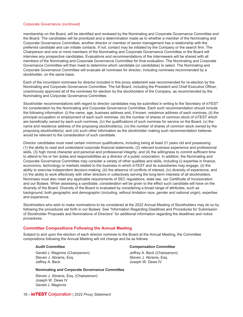#### Corporate Governance *(continued)*

membership on the Board, will be identified and reviewed by the Nominating and Corporate Governance Committee and the Board. The candidates will be prioritized and a determination made as to whether a member of the Nominating and Corporate Governance Committee, another director or member of senior management has a relationship with the preferred candidate and can initiate contacts. If not, contact may be initiated by the Company or the search firm. The Chairperson and one or more members of the Nominating and Corporate Governance Committee or the Board will interview any prospective candidates. Evaluations and recommendations of the interviewers will be shared with all members of the Nominating and Corporate Governance Committee for final evaluation. The Nominating and Corporate Governance Committee will then meet to determine which candidate (or candidates) to select. The Nominating and Corporate Governance Committee will evaluate all nominees for director, including nominees recommended by a stockholder, on the same basis.

Each of the incumbent nominees for director included in this proxy statement was recommended for re-election by the Nominating and Corporate Governance Committee. The full Board, including the President and Chief Executive Officer, unanimously approved all of the nominees for election by the stockholders of the Company, as recommended by the Nominating and Corporate Governance Committee.

Stockholder recommendations with regard to director candidates may be submitted in writing to the Secretary of inTEST for consideration by the Nominating and Corporate Governance Committee. Each such recommendation should include the following information: (i) the name, age, business address and, if known, residence address of each nominee, (ii) the principal occupation or employment of each such nominee, (iii) the number of shares of common stock of inTEST which are beneficially owned by each such nominee, (iv) the qualifications of such nominee for service on the Board, (v) the name and residence address of the proposing stockholder(s), (vi) the number of shares of common stock owned by the proposing stockholder(s), and (vii) such other information as the stockholder making such recommendation believes would be relevant to the consideration of such candidate.

Director candidates must meet certain minimum qualifications, including being at least 21 years old and possessing (1) the ability to read and understand corporate financial statements, (2) relevant business experience and professional skills, (3) high moral character and personal and professional integrity, and (4) the willingness to commit sufficient time to attend to his or her duties and responsibilities as a director of a public corporation. In addition, the Nominating and Corporate Governance Committee may consider a variety of other qualities and skills, including (i) expertise in finance, economics, technology or markets related to the business in which inTEST and its subsidiaries may engage, (ii) the ability to exercise independent decision-making, (iii) the absence of conflicts of interest, (iv) diversity of experience, and (v) the ability to work effectively with other directors in collectively serving the long-term interests of all stockholders. Nominees must also meet any applicable requirements of SEC regulations, state law, our Certificate of Incorporation and our Bylaws. When assessing a candidate, consideration will be given to the effect such candidate will have on the diversity of the Board. Diversity of the Board is evaluated by considering a broad range of attributes, such as background, both geographic and demographic (including, without limitation race, gender and national origin), expertise and experience.

Stockholders who wish to make nominations to be considered at the 2022 Annual Meeting of Stockholders may do so by following the procedures set forth in our Bylaws. See "Information Regarding Deadlines and Procedures for Submission of Stockholder Proposals and Nominations of Directors" for additional information regarding the deadlines and notice procedures.

#### **Committee Compositions Following the Annual Meeting**

Subject to and upon the election of each director nominee to the Board at the Annual Meeting, the Committee compositions following the Annual Meeting will not change and be as follows:

#### **Audit Committee**

Gerald J. Maginnis (Chairperson) Steven J. Abrams, Esq. Jeffrey A. Beck

#### **Compensation Committee**

Jeffrey A. Beck (Chairperson) Steven J. Abrams, Esq. Joseph W. Dews IV

#### **Nominating and Corporate Governance Committee**

Steven J. Abrams, Esg. (Chairperson) Joseph W. Dews IV Gerald J. Maginnis

18 – **inTEST Corporation** | *2022 Proxy Statement*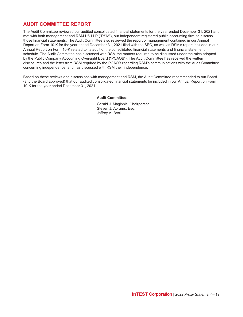## <span id="page-21-0"></span>**AUDIT COMMITTEE REPORT**

The Audit Committee reviewed our audited consolidated financial statements for the year ended December 31, 2021 and met with both management and RSM US LLP ("RSM"), our independent registered public accounting firm, to discuss those financial statements. The Audit Committee also reviewed the report of management contained in our Annual Report on Form 10-K for the year ended December 31, 2021 filed with the SEC, as well as RSM's report included in our Annual Report on Form 10-K related to its audit of the consolidated financial statements and financial statement schedule. The Audit Committee has discussed with RSM the matters required to be discussed under the rules adopted by the Public Company Accounting Oversight Board ("PCAOB"). The Audit Committee has received the written disclosures and the letter from RSM required by the PCAOB regarding RSM's communications with the Audit Committee concerning independence, and has discussed with RSM their independence.

Based on these reviews and discussions with management and RSM, the Audit Committee recommended to our Board (and the Board approved) that our audited consolidated financial statements be included in our Annual Report on Form 10-K for the year ended December 31, 2021.

#### **Audit Committee:**

Gerald J. Maginnis, Chairperson Steven J. Abrams, Esq. Jeffrey A. Beck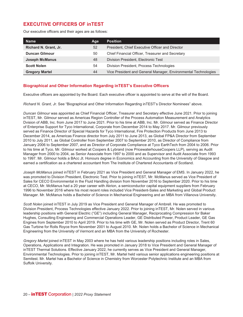## <span id="page-22-0"></span>**EXECUTIVE OFFICERS OF inTEST**

Our executive officers and their ages are as follows:

| <b>Name</b>           | Age | <b>Position</b>                                                |
|-----------------------|-----|----------------------------------------------------------------|
| Richard N. Grant, Jr. | 52  | President, Chief Executive Officer and Director                |
| <b>Duncan Gilmour</b> | 50  | Chief Financial Officer, Treasurer and Secretary               |
| <b>Joseph McManus</b> | 48  | Division President, Electronic Test                            |
| <b>Scott Nolen</b>    | 54  | Division President, Process Technologies                       |
| <b>Gregory Martel</b> | 44  | Vice President and General Manager, Environmental Technologies |

#### **Biographical and Other Information Regarding inTEST's Executive Officers**

Executive officers are appointed by the Board. Each executive officer is appointed to serve at the will of the Board.

*Richard N. Grant, Jr.* See "Biographical and Other Information Regarding inTEST's Director Nominees" above.

*Duncan Gilmour* was appointed as Chief Financial Officer, Treasurer and Secretary effective June 2021. Prior to joining inTEST, Mr. Gilmour served as Americas Region Controller of the Process Automation Measurement and Analytics Dvision of ABB, Inc. from June 2017 to June 2021. Prior to his time at ABB, Inc. Mr. Gilmour served as Finance Director of Enterprise Support for Tyco International, Corporate from December 2014 to May 2017. Mr. Gilmour previously served as Finance Director of Special Hazards for Tyco International, Fire Protection Products from June 2013 to December 2014, as Americas Finance director from July 2011 to June 2013, as Global FP&A Director from September 2010 to July 2011, as Global Controller from September 2007 to September 2010, as Director of Compliance from January 2006 to September 2007, and as Director of Corporate Compliance at Tyco EarthTech from 2004 to 2006. Prior to his time at Tyco, Mr. Gilmour worked at Coopers & Lybrand (now PricewaterhouseCoopers LLP), serving as Audit Manager from 2000 to 2004, as Senior Associate from 1997 to 2000 and as Supervisor and Audit Associate from 1993 to 1997. Mr. Gilmour holds a BAcc Jt. Honours degree in Economics and Accounting from the University of Glasgow and earned a certification as a chartered accountant from The Institute of Chartered Accountants of Scotland.

*Joseph McManus* joined inTEST in February 2021 as Vice President and General Manager of EMS. In January 2022, he was promoted to Division President, Electronic Test. Prior to joining inTEST, Mr. McManus served as Vice President of Sales for CECO Environmental in the Fluid Handling division from November 2016 to September 2020. Prior to his time at CECO, Mr. McManus had a 20 year career with Akrion, a semiconductor capital equipment suppliers from February 1996 to November 2016 where his most recent roles included Vice President-Sales and Marketing and Global Product Manager. Mr. McManus holds a Bachelor of Science in Mechanical Engineering and an MBA from Villanova University.

*Scott Nolen* joined inTEST in July 2019 as Vice President and General Manager of Ambrell. He was promoted to Division President, Process Technologies effective January 2022. Prior to joining inTEST, Mr. Nolen served in various leadership positions with General Electric ("GE") including General Manager, Reciprocating Compression for Baker Hughes, Consulting Engineering and Commercial Operations Leader, GE Distributed Power, Product Leader, GE Gas Engines from September 2010 to April 2019. Prior to his time with GE, Mr. Nolen served as Product Director, Trent 60 Gas Turbine for Rolls Royce from November 2001 to August 2010. Mr. Nolen holds a Bachelor of Science in Mechanical Engineering from the University of Vermont and an MBA from the University of Rochester.

*Gregory Martel* joined inTEST in May 2003 where he has held various leadership positions including roles in Sales, Operations, Applications and Integration. He was promoted in January 2018 to Vice President and General Manager of inTEST Thermal Solutions. Effective January 2022, he currently serves as Vice President and General Manager, Environmental Technologies. Prior to joining inTEST, Mr. Martel held various senior applications engineering positions at Semitest. Mr. Martel has a Bachelor of Science in Chemistry from Worcester Polytechnic Institute and an MBA from Suffolk University.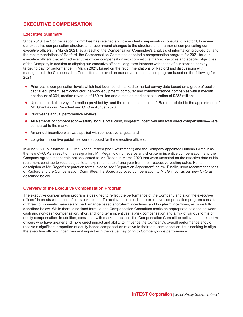## <span id="page-23-0"></span>**EXECUTIVE COMPENSATION**

#### **Executive Summary**

Since 2016, the Compensation Committee has retained an independent compensation consultant, Radford, to review our executive compensation structure and recommend changes to the structure and manner of compensating our executive officers. In March 2021, as a result of the Compensation Committee's analysis of information provided by, and the recommendations of Radford, the Compensation Committee adopted a compensation program for 2021 for our executive officers that aligned executive officer compensation with competitive market practices and specific objectives of the Company in addition to aligning our executive officers' long-term interests with those of our stockholders by targeting pay for performance. In March 2021, based on the recommendations of Radford and discussions with management, the Compensation Committee approved an executive compensation program based on the following for 2021:

- Prior year's compensation levels which had been benchmarked to market survey data based on a group of public capital equipment, semiconductor, network equipment, computer and communications companies with a median headcount of 304, median revenue of \$60 million and a median market capitalization of \$233 million;
- Updated market survey information provided by, and the recommendations of, Radford related to the appointment of Mr. Grant as our President and CEO in August 2020;
- Prior year's annual performance reviews:
- All elements of compensation—salary, bonus, total cash, long-term incentives and total direct compensation—were compared to the market;
- $\bullet$  An annual incentive plan was applied with competitive targets; and
- Long-term incentive guidelines were adopted for the executive officers.

In June 2021, our former CFO, Mr. Regan, retired (the "Retirement") and the Company appointed Duncan Gilmour as the new CFO. As a result of his resignation, Mr. Regan did not receive any short-term incentive compensation, and the Company agreed that certain options issued to Mr. Regan in March 2020 that were unvested on the effective date of his retirement continue to vest, subject to an expiration date of one year from their respective vesting dates. For a description of Mr. Regan's separation terms, please see "Separation Agreement" below. Finally, upon recommendations of Radford and the Compensation Committee, the Board approved compensation to Mr. Gilmour as our new CFO as described below.

#### **Overview of the Executive Compensation Program**

The executive compensation program is designed to reflect the performance of the Company and align the executive officers' interests with those of our stockholders. To achieve these ends, the executive compensation program consists of three components: base salary, performance-based short-term incentives, and long-term incentives, as more fully described below. While there is no fixed formula, the Compensation Committee seeks an appropriate balance between cash and non-cash compensation, short and long term incentives, at-risk compensation and a mix of various forms of equity compensation. In addition, consistent with market practices, the Compensation Committee believes that executive officers who have greater and more direct impact and ability to influence the Company's overall performance should receive a significant proportion of equity-based compensation relative to their total compensation, thus seeking to align the executive officers' incentives and impact with the value they bring to Company-wide performance.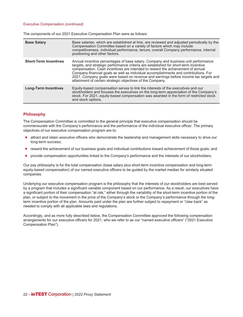The components of our 2021 Executive Compensation Plan were as follows:

| <b>Base Salary</b>           | Base salaries, which are established at hire, are reviewed and adjusted periodically by the<br>Compensation Committee based on a variety of factors which may include<br>competitiveness, individual performance, tenure, overall Company performance, internal<br>positioning and other factors.                                                                                                                                                                                                          |
|------------------------------|------------------------------------------------------------------------------------------------------------------------------------------------------------------------------------------------------------------------------------------------------------------------------------------------------------------------------------------------------------------------------------------------------------------------------------------------------------------------------------------------------------|
| <b>Short-Term Incentives</b> | Annual incentive percentages of base salary, Company and business unit performance<br>targets, and strategic performance criteria are established for short-term incentive<br>compensation. Cash incentives are intended to reward the achievement of annual<br>Company financial goals as well as individual accomplishments and contributions. For<br>2021, Company goals were based on revenue and earnings before income tax targets and<br>attainment of certain strategic objectives of the Company. |
| <b>Long-Term Incentives</b>  | Equity-based compensation serves to link the interests of the executives and our<br>stockholders and focuses the executives on the long-term appreciation of the Company's<br>stock. For 2021, equity-based compensation was awarded in the form of restricted stock<br>and stock options.                                                                                                                                                                                                                 |

#### **Philosophy**

The Compensation Committee is committed to the general principle that executive compensation should be commensurate with the Company's performance and the performance of the individual executive officer. The primary objectives of our executive compensation program are to:

- attract and retain executive officers who demonstrate the leadership and management skills necessary to drive our long-term success;
- reward the achievement of our business goals and individual contributions toward achievement of those goals; and
- provide compensation opportunities linked to the Company's performance and the interests of our stockholders.

Our pay philosophy is for the total compensation (base salary plus short-term incentive compensation and long-term equity-based compensation) of our named executive officers to be guided by the market median for similarly situated companies.

Underlying our executive compensation program is the philosophy that the interests of our stockholders are best served by a program that includes a significant variable component based on our performance. As a result, our executives have a significant portion of their compensation "at risk," either through the variability of the short-term incentive portion of the plan, or subject to the movement in the price of the Company's stock or the Company's performance through the longterm incentive portion of the plan. Amounts paid under the plan are further subject to repayment or "claw back" as needed to comply with all applicable laws and regulations.

Accordingly, and as more fully described below, the Compensation Committee approved the following compensation arrangements for our executive officers for 2021, who we refer to as our "named executive officers" ("2021 Executive Compensation Plan").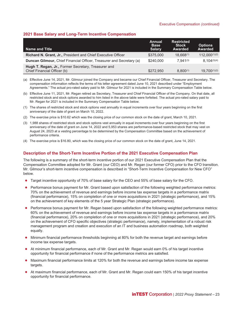#### **2021 Base Salary and Long-Term Incentive Compensation**

| <b>Name and Title</b>                                                              | Annual<br><b>Base</b><br><b>Salary</b> | <b>Restricted</b><br><b>Stock</b><br><b>Awarded</b> | <b>Options</b><br>Awarded |
|------------------------------------------------------------------------------------|----------------------------------------|-----------------------------------------------------|---------------------------|
| <b>Richard N. Grant, Jr., President and Chief Executive Officer</b>                | \$375,000                              | 18.668(1)                                           | 112.000(1)(2)             |
| <b>Duncan Gilmour, Chief Financial Officer, Treasurer and Secretary (a)</b>        | \$240,000                              | $7.941^{(3)}$                                       | 8.104(3)(4)               |
| Hugh T. Regan, Jr., Former Secretary, Treasurer and<br>Chief Financial Officer (b) | \$272,950                              | 8.800(1)                                            | 19.700(1)(2)              |

- (a) Effective June 14, 2021, Mr. Gilmour joined the Company and became our Chief Financial Officer, Treasurer and Secretary. The compensation information reflects the terms of his letter agreement dated June 10, 2021 described under "Employment Agreements." The actual pro-rated salary paid to Mr. Gilmour for 2021 is included in the Summary Compensation Table below.
- (b) Effective June 11, 2021, Mr. Regan retired as Secretary, Treasurer and Chief Financial Officer of the Company. On that date, all restricted stock and stock options awarded to him listed in the above table were forfeited. The actual pro-rated salary paid to Mr. Regan for 2021 is included in the Summary Compensation Table below.
- (1) The shares of restricted stock and stock options vest annually in equal increments over four years beginning on the first anniversary of the date of grant on March 10, 2022.
- (2) The exercise price is \$10.62 which was the closing price of our common stock on the date of grant, March 10, 2021.
- (3) 1,988 shares of restricted stock and stock options vest annually in equal increments over four years beginning on the first anniversary of the date of grant on June 14, 2022 and 5,953 shares are performance-based restricted stock that may vest on August 24, 2023 at a vesting percentage to be determined by the Compensation Committee based on the achievement of performance criteria.
- (4) The exercise price is \$16.80, which was the closing price of our common stock on the date of grant, June 14, 2021.

#### **Description of the Short-Term Incentive Portion of the 2021 Executive Compensation Plan**

The following is a summary of the short-term incentive portion of our 2021 Executive Compensation Plan that the Compensation Committee adopted for Mr. Grant (our CEO) and Mr. Regan (our former CFO) prior to the CFO transition. Mr. Gilmour's short-term incentive compensation is described in "Short-Term Incentive Compensation for New CFO" below.

- Target incentive opportunity of 70% of base salary for the CEO and 55% of base salary for the CFO.
- Performance bonus payment for Mr. Grant based upon satisfaction of the following weighted performance metrics: 70% on the achievement of revenue and earnings before income tax expense targets in a performance matrix (financial performance), 15% on completion of one or more acquisitions in 2021 (strategic performance), and 15% on the achievement of key elements of the 5 year Strategic Plan (strategic performance).
- Performance bonus payment for Mr. Regan based upon satisfaction of the following weighted performance metrics: 60% on the achievement of revenue and earnings before income tax expense targets in a performance matrix (financial performance), 20% on completion of one or more acquisitions in 2021 (strategic performance), and 20% on the achievement of CFO specific objectives (strategic performance), namely, implementation of a robust risk management program and creation and execution of an IT and business automation roadmap, both weighted equally.
- Minimum financial performance thresholds beginning at 80% for both the revenue target and earnings before income tax expense targets.
- At minimum financial performance, each of Mr. Grant and Mr. Regan would earn 0% of his target incentive opportunity for financial performance if none of the performance metrics are satisfied.
- Maximum financial performance limits at 120% for both the revenue and earnings before income tax expense targets.
- At maximum financial performance, each of Mr. Grant and Mr. Regan could earn 150% of his target incentive opportunity for financial performance.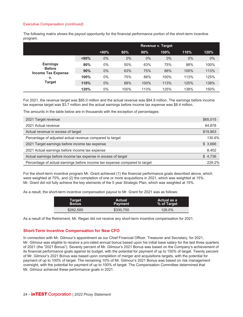The following matrix shows the payout opportunity for the financial performance portion of the short-term incentive program.

|                                                            |          | <b>Revenue v. Target</b> |       |      |       |      |       |
|------------------------------------------------------------|----------|--------------------------|-------|------|-------|------|-------|
|                                                            |          | $< 80\%$                 | 80%   | 90%  | 100%  | 110% | 120%  |
|                                                            | $< 80\%$ | $0\%$                    | $0\%$ | 0%   | $0\%$ | 0%   | $0\%$ |
| <b>Earnings</b>                                            | 80%      | $0\%$                    | 50%   | 63%  | 75%   | 88%  | 100%  |
| <b>Before</b><br><b>Income Tax Expense</b><br>v.<br>Target | 90%      | $0\%$                    | 63%   | 75%  | 88%   | 100% | 113%  |
|                                                            | 100%     | $0\%$                    | 75%   | 88%  | 100%  | 113% | 125%  |
|                                                            | 110%     | $0\%$                    | 88%   | 100% | 113%  | 125% | 138%  |
|                                                            | 120%     | 0%                       | 100%  | 113% | 125%  | 138% | 150%  |

For 2021, the revenue target was \$65.0 million and the actual revenue was \$84.9 million. The earnings before income tax expense target was \$3.7 million and the actual earnings before income tax expense was \$8.4 million.

The amounts in the table below are in thousands with the exception of percentages:

| 2021 Target revenue                                                        | \$65,015 |
|----------------------------------------------------------------------------|----------|
| 2021 Actual revenue                                                        | 84,878   |
| Actual revenue in excess of target                                         | \$19,863 |
| Percentage of adjusted actual revenue compared to target                   | 130.6%   |
| 2021 Target earnings before income tax expense                             | \$3,666  |
| 2021 Actual earnings before income tax expense                             | 8,402    |
| Actual earnings before income tax expense in excess of target              | \$4,736  |
| Percentage of actual earnings before income tax expense compared to target | 229.2%   |

For the short-term incentive program Mr. Grant achieved (1) the financial performance goals described above, which were weighted at 70%, and (2) the completion of one or more acquisitions in 2021, which was weighted at 15%. Mr. Grant did not fully achieve the key elements of the 5 year Strategic Plan, which was weighted at 15%.

As a result, the short-term incentive compensation payout to Mr. Grant for 2021 was as follows:

| Target       | <b>Actual</b>  | Actual as a |
|--------------|----------------|-------------|
| <b>Bonus</b> | <b>Payment</b> | % of Target |
| \$262,500    | \$330.750      | 126.0%      |

As a result of the Retirement, Mr. Regan did not receive any short-term incentive compensation for 2021.

#### **Short-Term Incentive Compensation for New CFO**

In connection with Mr. Gilmour's appointment as our Chief Financial Officer, Treasurer and Secretary, for 2021, Mr. Gilmour was eligible to receive a pro-rated annual bonus based upon his initial base salary for the last three quarters of 2021 (the "2021 Bonus"). Seventy percent of Mr. Gilmour's 2021 Bonus was based on the Company's achievement of its financial performance goals against its budget, with the potential for payment of up to 150% of target. Twenty percent of Mr. Gilmour's 2021 Bonus was based upon completion of merger and acquisitions targets, with the potential for payment of up to 100% of target. The remaining 10% of Mr. Gilmour's 2021 Bonus was based on risk management oversight, with the potential for payment of up to 100% of target. The Compensation Committee determined that Mr. Gilmour achieved these performance goals in 2021.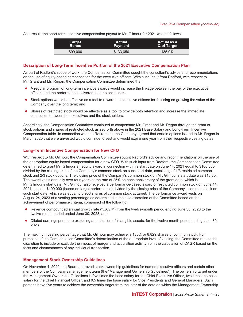As a result, the short-term incentive compensation payout to Mr. Gilmour for 2021 was as follows:

| Target       | Actual         | Actual as a |
|--------------|----------------|-------------|
| <b>Bonus</b> | <b>Payment</b> | % of Target |
| \$99,000     | \$133,650      | 135.0%      |

#### **Description of Long-Term Incentive Portion of the 2021 Executive Compensation Plan**

As part of Radford's scope of work, the Compensation Committee sought the consultant's advice and recommendations on the use of equity-based compensation for the executive officers. With such input from Radford, with respect to Mr. Grant and Mr. Regan, the Compensation Committee determined that:

- A regular program of long-term incentive awards would increase the linkage between the pay of the executive officers and the performance delivered to our stockholders;
- Stock options would be effective as a tool to reward the executive officers for focusing on growing the value of the Company over the long term; and
- Shares of restricted stock would be effective as a tool to provide both retention and increase the immediate connection between the executives and the stockholders.

Accordingly, the Compensation Committee continued to compensate Mr. Grant and Mr. Regan through the grant of stock options and shares of restricted stock as set forth above in the 2021 Base Salary and Long-Term Incentive Compensation table. In connection with the Retirement, the Company agreed that certain options issued to Mr. Regan in March 2020 that were unvested would continue to vest and would expire one year from their respective vesting dates.

#### **Long-Term Incentive Compensation for New CFO**

With respect to Mr. Gilmour, the Compensation Committee sought Radford's advice and recommendations on the use of the appropriate equity-based compensation for a new CFO. With such input from Radford, the Compensation Committee determined to grant Mr. Gilmour an equity award in connection with his start date on June 14, 2021 equal to \$100,000 divided by the closing price of the Company's common stock on such start date, consisting of 1/3 restricted common stock and 2/3 stock options. The closing price of the Company's common stock on Mr. Gilmour's start date was \$16.80. The award vests annually over four years at the rate of 25% on each anniversary of the grant date, which is Mr. Gilmour's start date. Mr. Gilmour also received a performance-based award of restricted common stock on June 14, 2021 equal to \$100,000 (based on target performance) divided by the closing price of the Company's common stock on such start date, which was equal to 5,953 shares of common stock at target. The performance award vests on August 24, 2023 at a vesting percentage as determined in the sole discretion of the Committee based on the achievement of performance criteria, comprised of the following:

- Revenue compounded annual growth rate ("CAGR") from the twelve-month period ending June 30, 2020 to the twelve-month period ended June 30, 2023; and
- Diluted earnings per share excluding amortization of intangible assets, for the twelve-month period ending June 30, 2023.

The maximum vesting percentage that Mr. Gilmour may achieve is 150% or 8,829 shares of common stock. For purposes of the Compensation Committee's determination of the appropriate level of vesting, the Committee retains the discretion to include or exclude the impact of merger and acquisition activity from the calculation of CAGR based on the facts and circumstances of any individual transaction.

#### **Management Stock Ownership Guidelines**

On November 4, 2020, the Board approved stock ownership guidelines for named executive officers and certain other members of the Company's management team (the "Management Ownership Guidelines"). The ownership target under the Management Ownership Guidelines is five times the base salary for the Chief Executive Officer, two times the base salary for the Chief Financial Officer, and 0.5 times the base salary for Vice Presidents and General Managers. Such persons have five years to achieve the ownership target from the later of the date on which the Management Ownership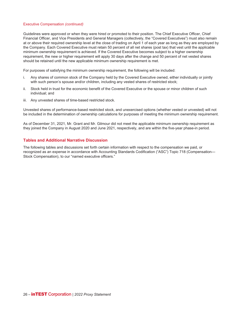Guidelines were approved or when they were hired or promoted to their position. The Chief Executive Officer, Chief Financial Officer, and Vice Presidents and General Managers (collectively, the "Covered Executives") must also remain at or above their required ownership level at the close of trading on April 1 of each year as long as they are employed by the Company. Each Covered Executive must retain 50 percent of all net shares (post tax) that vest until the applicable minimum ownership requirement is achieved. If the Covered Executive becomes subject to a higher ownership requirement, the new or higher requirement will apply 30 days after the change and 50 percent of net vested shares should be retained until the new applicable minimum ownership requirement is met.

For purposes of satisfying the minimum ownership requirement, the following will be included:

- i. Any shares of common stock of the Company held by the Covered Executive owned, either individually or jointly with such person's spouse and/or children, including any vested shares of restricted stock;
- ii. Stock held in trust for the economic benefit of the Covered Executive or the spouse or minor children of such individual; and
- iii. Any unvested shares of time-based restricted stock.

Unvested shares of performance-based restricted stock, and unexercised options (whether vested or unvested) will not be included in the determination of ownership calculations for purposes of meeting the minimum ownership requirement.

As of December 31, 2021, Mr. Grant and Mr. Gilmour did not meet the applicable minimum ownership requirement as they joined the Company in August 2020 and June 2021, respectively, and are within the five-year phase-in period.

#### **Tables and Additional Narrative Discussion**

The following tables and discussions set forth certain information with respect to the compensation we paid, or recognized as an expense in accordance with Accounting Standards Codification ("ASC") Topic 718 (Compensation— Stock Compensation), to our "named executive officers."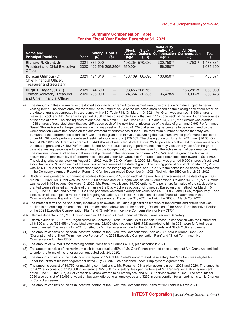| Name and<br><b>Principal Position</b>                                                | Year         | <b>Salary</b><br>$($ \$) | <b>Bonus</b><br>(\$)                           | <b>Stock</b><br>Awards<br>(\$)(A) | <b>Stock</b><br>\$)(B)   | <b>Non-Equity</b><br>Incentive Plan<br><b>Options Compensation Compensation</b><br>(\$)(C) | <b>All Other</b><br>(\$)     | Total<br>(\$)          |
|--------------------------------------------------------------------------------------|--------------|--------------------------|------------------------------------------------|-----------------------------------|--------------------------|--------------------------------------------------------------------------------------------|------------------------------|------------------------|
| Richard N. Grant, Jr.<br><b>President and Chief Executive</b><br>Officer             | 2021<br>2020 | 375,000                  | $\overline{\phantom{m}}$<br>122.596 206.250(3) | 650,004                           | 198.254 570.080          | 330.750(1)<br>56.250(4)                                                                    | $4.750^{(2)}$                | 1,478,834<br>1,035,100 |
| Duncan Gilmour (D)<br>Chief Financial Officer,<br><b>Treasurer and Secretary</b>     | 2021         | 124.616                  |                                                | 133,409                           | 66.696                   | 133.650(1)                                                                                 |                              | 458.371                |
| Hugh T. Regan, Jr. (E)<br>Former Secretary, Treasurer<br>and Chief Financial Officer | 2021         | 144,600<br>2020 265,000  | $\overline{\phantom{m}}$                       | 24.354                            | 93,456 268,752<br>30.535 | 36.438(6)                                                                                  | $156.281^{(5)}$<br>10.096(5) | 663,089<br>366.423     |

#### **Summary Compensation Table For the Fiscal Year Ended December 31, 2021**

(A) The amounts in this column reflect restricted stock awards granted to our named executive officers which are subject to certain vesting terms. The above amounts represent the fair market value of the restricted stock based on the closing price of our stock on the date of grant as computed in accordance with ASC Topic 718. On March 10, 2021, Mr. Grant was granted 18,668 shares of restricted stock and Mr. Regan was granted 8,800 shares of restricted stock that vest 25% upon each of the next four anniversaries of the date of grant. The closing price of our stock on March 10, 2021 was \$10.62. On June 14, 2021, Mr. Gilmour was granted 1,988 shares of restricted stock that vest 25% upon each of the next four anniversaries of the date of grant and 5,963 Performance-Based Shares issued at target performance that may vest on August 24, 2023 at a vesting percentage to be determined by the Compensation Committee based on the achievement of performance criteria. The maximum number of shares that may vest pursuant to the performance criteria is 8,929, and the grant date fair value assuming the maximum level of performance achieved under Mr. Gilmour's performance-based restricted stock award is \$150,007. The closing price on June 14, 2021 was \$16.80. On August 24, 2020, Mr. Grant was granted 66,448 shares of restricted stock that vest 25% upon each of the next four anniversaries of the date of grant and 75,162 Performance-Based Shares issued at target performance that may vest three years after the grant date at a vesting percentage to be determined by the Compensation Committee based on the achievement of performance criteria. The maximum number of shares that may vest pursuant to the performance criteria is 112,743, and the grant date fair value assuming the maximum level of performance achieved under Mr. Grant's performance-based restricted stock award is \$517,502. The closing price of our stock on August 24, 2020 was \$4.59. On March 9, 2020, Mr. Regan was granted 6,600 shares of restricted stock that vest 25% upon each of the next four anniversaries of the date of grant. The closing price of our stock on March 9, 2020 was \$3.69. For a discussion of assumptions made in the foregoing valuations, see Note 15 to the consolidated financial statements in the Company's Annual Report on Form 10-K for the year ended December 31, 2021 filed with the SEC on March 23, 2022.

- (B) Stock options granted to our named executive officers vest 25% upon each of the next four anniversaries of the date of grant. On March 10, 2021, Mr. Grant was issued 118,000 options and Mr. Regan was issued 52,800 options. On June 14, 2021, Mr. Gilmour was issued 8,104 options. On March 9, 2020, Mr. Regan was issued 19,700 options. The per share fair value of the stock options granted were estimated at the date of grant using the Black-Scholes option pricing model. Based on this method, for March 10, 2021, June 14, 2021 and March 9, 2020, the per share weighted average fair value was \$5.09, \$8.23 and \$1.55, respectively. For a discussion of assumptions made in the foregoing valuations, see Note 15 to the consolidated financial statements in the Company's Annual Report on Form 10-K for the year ended December 31, 2021 filed with the SEC on March 23, 2022.
- (C) The material terms of the non-equity incentive plan awards, including a general description of the formula and criteria that was applied in determining the amounts paid, are described above under the heading "Description of the Short-Term Incentive Portion of the 2021 Executive Compensation Plan" and "Short-Term Incentive Compensation for New CFO".
- (D) Effective June 14, 2021, Mr. Gilmour joined inTEST as our Chief Financial Officer, Treasurer and Secretary.
- (E) Effective June 11, 2021, Mr. Regan retired as Secretary, Treasurer and Chief Financial Officer. In connection with the Retirement, all 8,800 shares (\$93,456) of restricted stock and 52,800 stock options (\$268,752) awarded to him in 2021 were forfeited, as all were unvested. The awards for 2021 forfeited by Mr. Regan are included in the Stock Awards and Stock Options columns.
- (1) The amount consists of the cash incentive portion of the Executive Compensation Plan of 2021 paid in March 2022. See "Description of the Short-Term Incentive Portion of the 2021 Executive Compensation Plan" and "Short Term Incentive Compensation for New CFO".
- (2) The amount of \$4,750 is for matching contributions to Mr. Grant's 401(k) plan account in 2021.
- (3) The amount consists of the minimum cash bonus equal to 55% of Mr. Grant's non-prorated base salary that Mr. Grant was entitled to under the terms of his letter agreement dated July 24, 2020.
- (4) The amount consists of the cash incentive equal to 15% of Mr. Grant's non-prorated base salary that Mr. Grant was eligible for under the terms of his letter agreement dated July 24, 2020, as described under "Employment Agreements."
- (5) The amounts consist of \$4,750 for matching contributions to Mr. Regan's 401(k) plan account in both 2021 and 2020. The amounts for 2021 also consist of \$120,000 in severance, \$22,500 in consulting fees per the terms of Mr. Regan's separation agreement dated June 10, 2021, \$7,644 of vacation buyback offered to all employees, and \$1,387 service award in 2021. The amounts for 2020 also consist of \$5,096 of vacation buyback offered to all employees and \$250 in consideration for amendments to his Change of Control agreement.
- (6) The amount consists of the cash incentive portion of the Executive Compensation Plans of 2020 paid in March 2021.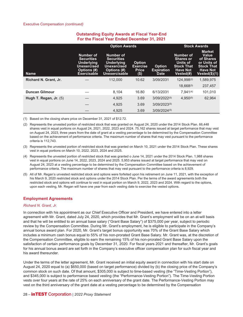#### **Outstanding Equity Awards at Fiscal Year-End For the Fiscal Year Ended December 31, 2021**

|                        | <b>Option Awards</b>                                                                                           |                                                                                                                         |                                                             |                                                   | <b>Stock Awards</b>                                                                            |                                                                                                              |  |
|------------------------|----------------------------------------------------------------------------------------------------------------|-------------------------------------------------------------------------------------------------------------------------|-------------------------------------------------------------|---------------------------------------------------|------------------------------------------------------------------------------------------------|--------------------------------------------------------------------------------------------------------------|--|
| <b>Name</b>            | Number of<br><b>Securities</b><br><b>Underlying</b><br><b>Unexercised</b><br>Options (#)<br><b>Exercisable</b> | Number of<br><b>Securities</b><br><b>Underlying</b><br><b>Unexercised</b><br><b>Options</b> (#)<br><b>Unexercisable</b> | <b>Option</b><br><b>Exercise</b><br><b>Price</b><br>$($ \$) | <b>Option</b><br><b>Expiration</b><br><b>Date</b> | Number of<br><b>Shares or</b><br>Units of<br><b>Stock That</b><br><b>Have Not</b><br>Vested(#) | <b>Market</b><br>Value<br>of Shares<br>or Units of<br><b>Stock That</b><br><b>Have Not</b><br>$Vested($(1))$ |  |
| Richard N. Grant, Jr.  |                                                                                                                | 112,000                                                                                                                 | 10.62                                                       | 3/09/2031                                         | 124.998(2)                                                                                     | 1,589,975                                                                                                    |  |
|                        |                                                                                                                |                                                                                                                         |                                                             |                                                   | $18.668^{(3)}$                                                                                 | 237,457                                                                                                      |  |
| <b>Duncan Gilmour</b>  |                                                                                                                | 8,104                                                                                                                   | 16.80                                                       | 6/13/2031                                         | $7.941^{(4)}$                                                                                  | 101.010                                                                                                      |  |
| Hugh T. Regan, Jr. (5) |                                                                                                                | 4,925                                                                                                                   | 3.69                                                        | 3/09/2022(5)                                      | $4.950^{(5)}$                                                                                  | 62.964                                                                                                       |  |
|                        |                                                                                                                | 4.925                                                                                                                   | 3.69                                                        | 3/09/2023(5)                                      |                                                                                                |                                                                                                              |  |
|                        |                                                                                                                | 4,925                                                                                                                   | 3.69                                                        | 3/09/2024(5)                                      |                                                                                                |                                                                                                              |  |

(1) Based on the closing share price on December 31, 2021 of \$12.72.

- (2) Represents the unvested portion of restricted stock that was granted on August 24, 2020 under the 2014 Stock Plan. 66,448 shares vest in equal portions on August 24, 2021, 2022, 2023 and 2024. 75,162 shares issued at target performance that may vest on August 24, 2023, three years from the date of grant at a vesting percentage to be determined by the Compensation Committee based on the achievement of performance criteria. The maximum number of shares that may vest pursuant to the performance criteria is 112,743.
- (3) Represents the unvested portion of restricted stock that was granted on March 10, 2021 under the 2014 Stock Plan. These shares vest in equal portions on March 10, 2022, 2023, 2024 and 2025.
- (4) Represents the unvested portion of restricted stock that was granted o June 14, 2021 under the 2014 Stock Plan. 1,988 shares vest in equal portions on June 14, 2022, 2023, 2024 and 2025. 5,953 shares issued at target performance that may vest on August 24, 2023 at a vesting percentage to be determined by the Compensation Committee based on the achievement of performance criteria. The maximum number of shares that may vest pursuant to the performance criteria is 8,929.
- (5) All of Mr. Regan's unvested restricted stock and options were forfeited upon his retirement on June 11, 2021, with the exception of his March 9, 2020 restricted stock and options under the 2014 Stock Plan. Per the terms of the award agreements both the restricted stock and options will continue to vest in equal portion on March 9, 2022, 2023 and 2024. With regard to the options, upon each vesting, Mr. Regan will have one year from each vesting date to exercise the vested options.

#### **Employment Agreements**

#### *Richard N. Grant, Jr.*

In connection with his appointment as our Chief Executive Officer and President, we have entered into a letter agreement with Mr. Grant, dated July 24, 2020, which provides that Mr. Grant's employment will be on an at-will basis and that he will be entitled to an annual base salary ("Grant Base Salary") of \$375,000 per year, subject to periodic review by the Compensation Committee. During Mr. Grant's employment, he is eligible to participate in the Company's annual bonus award plan. For 2020, Mr. Grant's target bonus opportunity was 70% of the Grant Base Salary which includes a minimum cash bonus equal to 55% of his non-prorated Grant Base Salary. Mr. Grant was, at the discretion of the Compensation Committee, eligible to earn the remaining 15% of his non-prorated Grant Base Salary upon the satisfaction of certain performance goals by December 31, 2020. For fiscal years 2021 and thereafter, Mr. Grant's goals for his annual bonus award are set forth in the Company's executive officer compensation plan for such fiscal year and his award thereunder.

Under the terms of the letter agreement, Mr. Grant received an initial equity award in connection with his start date on August 24, 2020 equal to (a) \$650,000 (based on target performance) divided by (b) the closing price of the Company's common stock on such date. Of that amount, \$305,000 is subject to time-based vesting (the "Time-Vesting Portion"), and \$345,000 is subject to performance based vesting (the "Performance-Vesting Portion"). The Time-Vesting Portion vests over four years at the rate of 25% on each anniversary of the grant date. The Performance-Vesting Portion may vest on the third anniversary of the grant date at a vesting percentage to be determined by the Compensation

#### 28 – **inTEST Corporation** | *2022 Proxy Statement*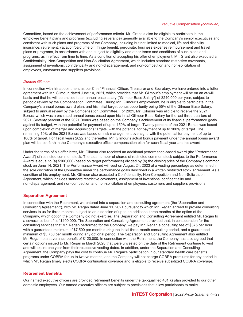Committee, based on the achievement of performance criteria. Mr. Grant is also be eligible to participate in the employee benefit plans and programs (excluding severance) generally available to the Company's senior executives and consistent with such plans and programs of the Company, including but not limited to medical, life and disability insurance, retirement, vacation/paid time off, fringe benefit, perquisite, business expense reimbursement and travel plans or programs, in accordance with and subject to eligibility and other terms and conditions of such plans and programs, as in effect from time to time. As a condition of accepting his offer of employment, Mr. Grant also executed a Confidentiality, Non-Competition and Non-Solicitation Agreement, which includes standard restrictive covenants, assignment of inventions, confidentiality and non-disparagement, and non-competition and non-solicitation of employees, customers and suppliers provisions.

#### *Duncan Gilmour*

In connection with his appointment as our Chief Financial Officer, Treasurer and Secretary, we have entered into a letter agreement with Mr. Gilmour, dated June 10, 2021, which provides that Mr. Gilmour's employment will be on an at-will basis and that he will be entitled to an annual base salary ("Gilmour Base Salary") of \$240,000 per year, subject to periodic review by the Compensation Committee. During Mr. Gilmour's employment, he is eligible to participate in the Company's annual bonus award plan, and his initial target bonus opportunity being 55% of the Gilmour Base Salary, subject to annual review by the Compensation Committee. For 2021, Mr. Gilmour was eligible to receive the 2021 Bonus, which was a pro-rated annual bonus based upon his initial Gilmour Base Salary for the last three quarters of 2021. Seventy percent of the 2021 Bonus was based on the Company's achievement of its financial performance goals against its budget, with the potential for payment of up to 150% of target. Twenty percent of the 2021 Bonus was based upon completion of merger and acquisitions targets, with the potential for payment of up to 100% of target. The remaining 10% of the 2021 Bonus was based on risk management oversight, with the potential for payment of up to 100% of target. For fiscal years 2022 and thereafter, Mr. Gilmour's actual bonus payment under the annual bonus award plan will be set forth in the Company's executive officer compensation plan for such fiscal year and his award.

Under the terms of his offer letter, Mr. Gilmour also received an additional performance-based award (the "Performance Award") of restricted common stock. The total number of shares of restricted common stock subject to the Performance Award is equal to (a) \$100,000 (based on target performance) divided by (b) the closing price of the Company's common stock on June 14, 2021. The Performance Award will vest on August 24, 2023 at a vesting percentage as determined in the sole discretion of the Committee under the performance goals described in a written restricted stock agreement. As a condition of his employment, Mr. Gilmour also executed a Confidentiality, Non-Competition and Non-Solicitation Agreement, which includes standard restrictive covenants, assignment of inventions, confidentiality and non-disparagement, and non-competition and non-solicitation of employees, customers and suppliers provisions.

#### **Separation Agreement**

In connection with the Retirement, we entered into a separation and consulting agreement (the "Separation and Consulting Agreement"), with Mr. Regan dated June 11, 2021 pursuant to which Mr. Regan agreed to provide consulting services to us for three months, subject to an extension of up to an additional three months at the option of the Company, which option the Company did not exercise. The Separation and Consulting Agreement entitled Mr. Regan to a severance benefit of \$100,000. The Separation and Consulting Agreement provided that, in consideration for the consulting services that Mr. Regan performed for the Company, we pay Mr. Regan a consulting fee of \$375 per hour, with a guaranteed minimum of \$7,500 per month during the initial three-month consulting period, and a guaranteed minimum of \$3,750 per month during any optional period. The Separation and Consulting Agreement also entitled Mr. Regan to a severance benefit of \$120,000. In connection with the Retirement, the Company has also agreed that certain options issued to Mr. Regan in March 2020 that were unvested on the date of the Retirement continue to vest and will expire one year from their respective vesting dates. In addition, under the Separation and Consulting Agreement, the Company pays the cost to continue Mr. Regan's participation in our standard health care benefits programs under COBRA for up to twelve months, and the Company will not charge COBRA premiums for any period in which Mr. Regan timely elects COBRA continuation coverage and is eligible to receive subsidized COBRA coverage.

#### **Retirement Benefits**

Our named executive officers are provided retirement benefits under the tax-qualified 401(k) plan provided to our other domestic employees. Our named executive officers are subject to provisions that allow participants to make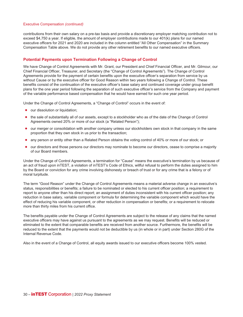contributions from their own salary on a pre-tax basis and provide a discretionary employer matching contribution not to exceed \$4,750 a year. If eligible, the amount of employer contributions made to our 401(k) plans for our named executive officers for 2021 and 2020 are included in the column entitled "All Other Compensation" in the Summary Compensation Table above. We do not provide any other retirement benefits to our named executive officers.

#### **Potential Payments upon Termination Following a Change of Control**

We have Change of Control Agreements with Mr. Grant, our President and Chief Financial Officer, and Mr. Gilmour, our Chief Financial Officer, Treasurer, and Secretary (the "Change of Control Agreements"). The Change of Control Agreements provide for the payment of certain benefits upon the executive officer's separation from service by us without Cause or by the executive officer for Good Reason within two years following a Change of Control. These benefits consist of the continuation of the executive officer's base salary and continued coverage under group benefit plans for the one year period following the separation of such executive officer's service from the Company and payment of the variable performance based compensation that he would have earned for such one year period.

Under the Change of Control Agreements, a "Change of Control" occurs in the event of:

- our dissolution or liquidation;
- the sale of substantially all of our assets, except to a stockholder who as of the date of the Change of Control Agreements owned 20% or more of our stock (a "Related Person");
- our merger or consolidation with another company unless our stockholders own stock in that company in the same proportion that they own stock in us prior to the transaction;
- any person or entity other than a Related Person obtains the voting control of 40% or more of our stock; or
- our directors and those persons our directors may nominate to become our directors, cease to comprise a majority of our Board members.

Under the Change of Control Agreements, a termination for "Cause" means the executive's termination by us because of an act of fraud upon inTEST, a violation of inTEST's Code of Ethics, willful refusal to perform the duties assigned to him by the Board or conviction for any crime involving dishonesty or breach of trust or for any crime that is a felony or of moral turpitude.

The term "Good Reason" under the Change of Control Agreements means a material adverse change in an executive's status, responsibilities or benefits; a failure to be nominated or elected to his current officer position; a requirement to report to anyone other than his direct report; an assignment of duties inconsistent with his current officer position; any reduction in base salary, variable component or formula for determining the variable component which would have the effect of reducing his variable component, or other reduction in compensation or benefits; or a requirement to relocate more than thirty miles from his current office.

The benefits payable under the Change of Control Agreements are subject to the release of any claims that the named executive officers may have against us pursuant to the agreements as we may request. Benefits will be reduced or eliminated to the extent that comparable benefits are received from another source. Furthermore, the benefits will be reduced to the extent that the payments would not be deductible by us (in whole or in part) under Section 280G of the Internal Revenue Code.

Also in the event of a Change of Control, all equity awards issued to our executive officers become 100% vested.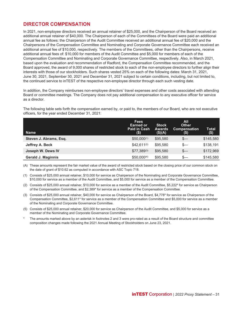## <span id="page-33-0"></span>**DIRECTOR COMPENSATION**

In 2021, non-employee directors received an annual retainer of \$25,000, and the Chairperson of the Board received an additional annual retainer of \$40,000. The Chairperson of each of the Committees of the Board were paid an additional annual fee as follows: the Chairperson of the Audit Committee received an additional annual fee of \$20,000 and the Chairpersons of the Compensation Committee and Nominating and Corporate Governance Committee each received an additional annual fee of \$10,000, respectively. The members of the Committees, other than the Chairpersons, receive additional annual fees of: \$10,000 for members of the Audit Committee and \$5,000 for members of each of the Compensation Committee and Nominating and Corporate Governance Committee, respectively. Also, in March 2021, based upon the evaluation and recommendation of Radford, the Compensation Committee recommended, and the Board approved, the award of 9,000 shares of restricted stock to each of the non-employee directors to further align their interests with those of our stockholders. Such shares vested 25% on each of the following dates: March 31, 2021, June 30, 2021, September 30, 2021 and December 31, 2021 subject to certain conditions, including, but not limited to, the continued service to inTEST of the respective non-employee director through each such vesting date.

In addition, the Company reimburses non-employee directors' travel expenses and other costs associated with attending Board or committee meetings. The Company does not pay additional compensation to any executive officer for service as a director.

The following table sets forth the compensation earned by, or paid to, the members of our Board, who are not executive officers, for the year ended December 31, 2021:

| <b>Name</b>               | <b>Fees</b><br><b>Earned or</b><br>Paid in Cash.<br>\$) | <b>Stock</b><br><b>Awards</b><br>(\$)(A) | All<br><b>Other</b><br><b>Compensation</b><br>$($ \$) | Total<br>$($ \$) |
|---------------------------|---------------------------------------------------------|------------------------------------------|-------------------------------------------------------|------------------|
| Steven J. Abrams, Esq.    | $$50,000^{(1)}$                                         | \$95,580                                 | $s-$                                                  | \$145,580        |
| Jeffrey A. Beck           | $$42.611^{(2)}$                                         | \$95,580                                 | $s-$                                                  | \$138.191        |
| Joseph W. Dews IV         | $$77.389^{(3)}$                                         | \$95,580                                 | $s-$                                                  | \$172,969        |
| <b>Gerald J. Maginnis</b> | $$50.000^{(4)}$                                         | \$95,580                                 |                                                       | \$145,580        |

(A) These amounts represent the fair market value of the award of restricted stock based on the closing price of our common stock on the date of grant of \$10.62 as computed in accordance with ASC Topic 718.

(1) Consists of \$25,000 annual retainer, \$10,000 for service as Chairperson of the Nominating and Corporate Governance Committee, \$10,000 for service as a member of the Audit Committee, and \$5,000 for service as a member of the Compensation Committee.

- (2) Consists of \$25,000 annual retainer, \$10,000 for service as a member of the Audit Committee, \$5,222\* for service as Chairperson of the Compensation Committee, and \$2,389\* for service as a member of the Compensation Committee.
- (3) Consists of \$25,000 annual retainer, \$40,000 for service as Chairperson of the Board, \$4,778\* for service as Chairperson of the Compensation Committee, \$2,611\* for service as a member of the Compensation Committee and \$5,000 for service as a member of the Nominating and Corporate Governance Committee.
- (5) Consists of \$25,000 annual retainer, \$20,000 for service as Chairperson of the Audit Committee, and \$5,000 for service as a member of the Nominating and Corporate Governance Committee.
- The amounts marked above by an asterisk in footnotes 2 and 3 were pro-rated as a result of the Board structure and committee composition changes made following the 2021 Annual Meeting of Stockholders on June 23, 2021.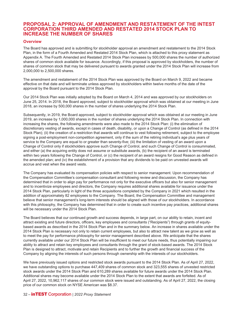## <span id="page-34-0"></span>**PROPOSAL 2: APPROVAL OF AMENDMENT AND RESTATEMENT OF THE INTEST CORPORATION THIRD AMENDED AND RESTATED 2014 STOCK PLAN TO INCREASE THE NUMBER OF SHARES**

#### **Overview**

The Board has approved and is submitting for stockholder approval an amendment and restatement to the 2014 Stock Plan, in the form of a Fourth Amended and Restated 2014 Stock Plan, which is attached to this proxy statement as Appendix A. The Fourth Amended and Restated 2014 Stock Plan increases by 500,000 shares the number of authorized shares of common stock available for issuance. Accordingly, if this proposal is approved by stockholders, the number of shares of common stock that may be delivered pursuant to awards granted under the 2014 Stock Plan will increase from 2,000,000 to 2,500,000 shares.

The amendment and restatement of the 2014 Stock Plan was approved by the Board on March 9, 2022 and became effective on that date and will terminate unless approved by stockholders within twelve months of the date of the approval by the Board pursuant to the 2014 Stock Plan.

Our 2014 Stock Plan was initially adopted by the Board on March 4, 2014 and was approved by our stockholders on June 25, 2014. In 2018, the Board approved, subject to stockholder approval which was obtained at our meeting in June 2018, an increase by 500,000 shares in the number of shares underlying the 2014 Stock Plan.

Subsequently, in 2019, the Board approved, subject to stockholder approval which was obtained at our meeting in June 2019, an increase by 1,000,000 shares in the number of shares underlying the 2014 Stock Plan. In connection with increasing the shares, the following amendments were also made to the 2014 Stock Plan: (i) the elimination of discretionary vesting of awards, except in cases of death, disability, or upon a Change of Control (as defined in the 2014 Stock Plan); (ii) the creation of a restriction that awards will continue to vest following retirement, subject to the employee signing a post-employment non-competition agreement, only if the sum of the retiring individual's age plus years of service to the Company are equal to or greater than seventy-five; (iii) the limitation of vesting of an award upon a Change of Control only if stockholders approve such Change of Control, and such Change of Control is consummated, and either (a) the acquiring entity does not assume or substitute awards, (b) the recipient of an award is terminated within two years following the Change of Control, or (c) the recipient of an award resigns for Good Reason as defined in the amended plan; and (iv) the establishment of a provision that any dividends to be paid on unvested awards will accrue and vest when the award vests.

The Company has evaluated its compensation policies with respect to senior management. Upon recommendation of the Compensation Committee's compensation consultant and following review and discussion, the Company has determined that in order to align pay for performance not only for the executive officers but also for senior management and to incentivize employees and directors, the Company requires additional shares available for issuance under the 2014 Stock Plan, particularly in light of the three acquisitions completed by the Company in 2021 which resulted in the addition of approximately 82 employees to the Company. The Board, the Compensation Committee and management believe that senior management's long-term interests should be aligned with those of our stockholders. In accordance with this philosophy, the Company has determined that in order to create such incentive pay practices, additional shares will be necessary under the 2014 Stock Plan.

The Board believes that our continued growth and success depends, in large part, on our ability to retain, incent and attract existing and future directors, officers, key employees and consultants ("Recipients") through grants of equitybased awards as described in the 2014 Stock Plan and in the summary below. An increase in shares available under the 2014 Stock Plan is necessary not only to retain current employees, but also to attract new talent as we grow as well as to meet the pay for performance philosophy for senior management described above. We anticipate that the shares currently available under our 2014 Stock Plan will be insufficient to meet our future needs, thus potentially impairing our ability to attract and retain key employees and consultants through the grant of stock-based awards. The 2014 Stock Plan is designed to attract, motivate and retain Recipients and to further the growth and financial success of the Company by aligning the interests of such persons through ownership with the interests of our stockholders.

We have previously issued options and restricted stock awards pursuant to the 2014 Stock Plan. As of April 27, 2022, we have outstanding options to purchase 447,409 shares of common stock and 323,555 shares of unvested restricted stock awards under the 2014 Stock Plan and 610,289 shares available for future awards under the 2014 Stock Plan. Additional shares may become available under the 2014 Stock Plan to the extent that awards are forfeited. As of April 27, 2022, 10,962,117 shares of our common stock were issued and outstanding. As of April 27, 2022, the closing price of our common stock on NYSE American was \$8.37.

#### 32 – **inTEST Corporation** | *2022 Proxy Statement*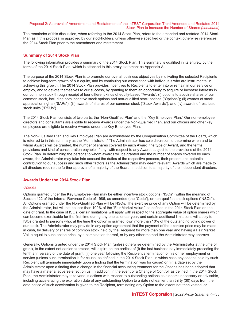The remainder of this discussion, when referring to the 2014 Stock Plan, refers to the amended and restated 2014 Stock Plan as if this proposal is approved by our stockholders, unless otherwise specified or the context otherwise references the 2014 Stock Plan prior to the amendment and restatement.

#### **Summary of 2014 Stock Plan**

The following information provides a summary of the 2014 Stock Plan. This summary is qualified in its entirety by the terms of the 2014 Stock Plan, which is attached to this proxy statement as Appendix A.

The purpose of the 2014 Stock Plan is to promote our overall business objectives by motivating the selected Recipients to achieve long-term growth of our equity, and by continuing our association with individuals who are instrumental in achieving this growth. The 2014 Stock Plan provides incentives to Recipients to enter into or remain in our service or employ, and to devote themselves to our success, by granting to them an opportunity to acquire or increase interests in our common stock through receipt of four different kinds of equity-based "Awards": (i) options to acquire shares of our common stock, including both incentive stock options and non-qualified stock options ("Options"); (ii) awards of stock appreciation rights ("SARs"); (iii) awards of shares of our common stock ("Stock Awards"); and (iv) awards of restricted stock units ("RSUs").

The 2014 Stock Plan consists of two parts: the "Non-Qualified Plan" and the "Key Employee Plan." Our non-employee directors and consultants are eligible to receive Awards under the Non-Qualified Plan, and our officers and other key employees are eligible to receive Awards under the Key Employee Plan.

The Non-Qualified Plan and Key Employee Plan are administered by the Compensation Committee of the Board, which is referred to in this summary as the "Administrator." The Administrator has sole discretion to determine when and to whom Awards will be granted, the number of shares covered by each Award, the type of Award, and the terms, provisions and kind of consideration payable, if any, with respect to any Award, subject to the provisions of the 2014 Stock Plan. In determining the persons to whom awards will be granted and the number of shares covered by each award, the Administrator may take into account the duties of the respective persons, their present and potential contribution to our success and such other factors as the Administrator may deem relevant. Awards which are made to all directors require the further approval of a majority of the Board, in addition to a majority of the independent directors.

#### **Awards Under the 2014 Stock Plan**

#### *Options*

Options granted under the Key Employee Plan may be either incentive stock options ("ISOs") within the meaning of Section 422 of the Internal Revenue Code of 1986, as amended (the "Code"), or non-qualified stock options ("NSOs"). All Options granted under the Non-Qualified Plan will be NSOs. The exercise price of any Option will be determined by the Administrator, but will not be less than 100% of the "Fair Market Value," as defined in the 2014 Stock Plan on the date of grant. In the case of ISOs, certain limitations will apply with respect to the aggregate value of option shares which can become exercisable for the first time during any one calendar year, and certain additional limitations will apply to ISOs granted to persons who, at the time the option is granted, own more than 10% of the outstanding voting power of our stock. The Administrator may provide in any option agreement that the payment of the exercise price may be made in cash, by delivery of shares of common stock held by the Recipient for more than one year and having a Fair Market Value equal to such option price, by a combination thereof, or by any other method the Administrator may approve.

Generally, Options granted under the 2014 Stock Plan (unless otherwise determined by the Administrator at the time of grant), to the extent not earlier exercised, will expire on the earliest of (i) the last business day immediately preceding the tenth anniversary of the date of grant, (ii) one year following the Recipient's termination of his or her employment or service (unless such termination is for cause, as defined in the 2014 Stock Plan, in which case any options held by such Recipient will terminate immediately upon a finding that the termination was for cause) or (iii) a date set by the Administrator upon a finding that a change in the financial accounting treatment for the Options has been adopted that may have a material adverse effect on us. In addition, in the event of a Change of Control, as defined in the 2014 Stock Plan, the Administrator may take various actions with respect to outstanding options as it deems necessary or advisable, including accelerating the expiration date of any outstanding Option to a date not earlier than thirty (30) days from the date notice of such acceleration is given to the Recipient, terminating any Option to the extent not then vested, or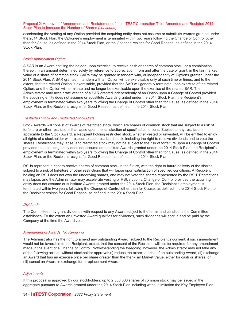accelerating the vesting of any Option provided the acquiring entity does not assume or substitute Awards granted under the 2014 Stock Plan, the Optionee's employment is terminated within two years following the Change of Control other than for Cause, as defined in the 2014 Stock Plan, or the Optionee resigns for Good Reason, as defined in the 2014 Stock Plan.

#### *Stock Appreciation Rights*

A SAR is an Award entitling the holder, upon exercise, to receive cash or shares of common stock, or a combination thereof, in an amount determined solely by reference to appreciation, from and after the date of grant, in the fair market value of a share of common stock. SARs may be granted in tandem with, or independently of, Options granted under the 2014 Stock Plan. A SAR granted in tandem with an Option will be exercisable only at such time or times, and to the extent, that the related Option is exercisable, provided that the SAR will generally terminate upon exercise of the related Option, and the Option will terminate and no longer be exercisable upon the exercise of the related SAR. The Administrator may accelerate vesting of a SAR granted independently of an Option upon a Change of Control provided the acquiring entity does not assume or substitute Awards granted under the 2014 Stock Plan, the Recipient's employment is terminated within two years following the Change of Control other than for Cause, as defined in the 2014 Stock Plan, or the Recipient resigns for Good Reason, as defined in the 2014 Stock Plan.

#### *Restricted Stock and Restricted Stock Units*

Stock Awards will consist of awards of restricted stock, which are shares of common stock that are subject to a risk of forfeiture or other restrictions that lapse upon the satisfaction of specified conditions. Subject to any restrictions applicable to the Stock Award, a Recipient holding restricted stock, whether vested or unvested, will be entitled to enjoy all rights of a stockholder with respect to such restricted stock, including the right to receive dividends and to vote the shares. Restrictions may lapse, and restricted stock may not be subject to the risk of forfeiture upon a Change of Control provided the acquiring entity does not assume or substitute Awards granted under the 2014 Stock Plan, the Recipient's employment is terminated within two years following the Change of Control other than for Cause, as defined in the 2014 Stock Plan, or the Recipient resigns for Good Reason, as defined in the 2014 Stock Plan.

RSUs represent a right to receive shares of common stock in the future, with the right to future delivery of the shares subject to a risk of forfeiture or other restrictions that will lapse upon satisfaction of specified conditions. A Recipient holding an RSU does not own the underlying shares, and may not vote the shares represented by the RSU. Restrictions may lapse, and the Administrator may accelerate vesting of RSUs upon a Change of Control provided the acquiring entity does not assume or substitute Awards granted under the 2014 Stock Plan, the Recipient's employment is terminated within two years following the Change of Control other than for Cause, as defined in the 2014 Stock Plan, or the Recipient resigns for Good Reason, as defined in the 2014 Stock Plan.

#### *Dividends*

The Committee may grant dividends with respect to any Award subject to the terms and conditions the Committee establishes. To the extent an unvested Award qualifies for dividends, such dividends will accrue and be paid by the Company at the time the Award vests.

#### *Amendment of Awards; No Repricing*

The Administrator has the right to amend any outstanding Award, subject to the Recipient's consent, if such amendment would not be favorable to the Recipient, except that the consent of the Recipient will not be required for any amendment made in the event of a Change of Control. Notwithstanding the foregoing, however, the Administrator may not take any of the following actions without stockholder approval: (i) reduce the exercise price of an outstanding Award, (ii) exchange an Award that has an exercise price per share greater than the then-Fair Market Value, either for cash or shares, or (iii) cancel an Award in exchange for a replacement Award.

#### *Adjustments*

If this proposal is approved by our stockholders, up to 2,500,000 shares of common stock may be issued in the aggregate pursuant to Awards granted under the 2014 Stock Plan including without limitation the Key Employee Plan.

#### 34 – **inTEST Corporation** | *2022 Proxy Statement*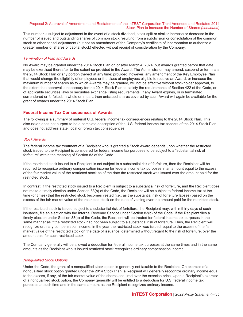This number is subject to adjustment in the event of a stock dividend, stock split or similar increase or decrease in the number of issued and outstanding shares of common stock resulting from a subdivision or consolidation of the common stock or other capital adjustment (but not an amendment of the Company's certificate of incorporation to authorize a greater number of shares of capital stock) effected without receipt of consideration by the Company.

#### *Termination of Plan and Awards*

No Award may be granted under the 2014 Stock Plan on or after March 4, 2024, but Awards granted before that date may be exercised thereafter to the extent so provided in the Award. The Administrator may amend, suspend or terminate the 2014 Stock Plan or any portion thereof at any time; provided, however, any amendment of the Key Employee Plan that would change the eligibility of employees or the class of employees eligible to receive an Award, or increase the maximum number of shares as to which Awards may be granted, will not be effective without stockholder approval, to the extent that approval is necessary for the 2014 Stock Plan to satisfy the requirements of Section 422 of the Code, or of applicable securities laws or securities exchange listing requirements. If any Award expires, or is terminated, surrendered or forfeited, in whole or in part, then unissued shares covered by such Award will again be available for the grant of Awards under the 2014 Stock Plan.

#### **Federal Income Tax Consequences of Awards**

The following is a summary of material U.S. federal income tax consequences relating to the 2014 Stock Plan. This discussion does not purport to be a complete description of the U.S. federal income tax aspects of the 2014 Stock Plan and does not address state, local or foreign tax consequences.

#### *Stock Awards*

The federal income tax treatment of a Recipient who is granted a Stock Award depends upon whether the restricted stock issued to the Recipient is considered for federal income tax purposes to be subject to a "substantial risk of forfeiture" within the meaning of Section 83 of the Code.

If the restricted stock issued to a Recipient is not subject to a substantial risk of forfeiture, then the Recipient will be required to recognize ordinary compensation income for federal income tax purposes in an amount equal to the excess of the fair market value of the restricted stock as of the date the restricted stock was issued over the amount paid for the restricted stock.

In contrast, if the restricted stock issued to a Recipient is subject to a substantial risk of forfeiture, and the Recipient does not make a timely election under Section 83(b) of the Code, the Recipient will be subject to federal income tax at the time (or times) that the restricted stock becomes vested (i.e., as the substantial risk of forfeiture lapses) based on the excess of the fair market value of the restricted stock on the date of vesting over the amount paid for the restricted stock.

If the restricted stock is issued subject to a substantial risk of forfeiture, the Recipient may, within thirty days of such issuance, file an election with the Internal Revenue Service under Section 83(b) of the Code. If the Recipient files a timely election under Section 83(b) of the Code, the Recipient will be treated for federal income tax purposes in the same manner as if the restricted stock had not been subject to a substantial risk of forfeiture. Thus, the Recipient will recognize ordinary compensation income, in the year the restricted stock was issued, equal to the excess of the fair market value of the restricted stock on the date of issuance, determined without regard to the risk of forfeiture, over the amount paid for such restricted stock.

The Company generally will be allowed a deduction for federal income tax purposes at the same times and in the same amounts as the Recipient who is issued restricted stock recognizes ordinary compensation income.

#### *Nonqualified Stock Options*

Under the Code, the grant of a nonqualified stock option is generally not taxable to the Recipient. On exercise of a nonqualified stock option granted under the 2014 Stock Plan, a Recipient will generally recognize ordinary income equal to the excess, if any, of the fair market value of the shares acquired over the exercise price. Upon a Recipient's exercise of a nonqualified stock option, the Company generally will be entitled to a deduction for U.S. federal income tax purposes at such time and in the same amount as the Recipient recognizes ordinary income.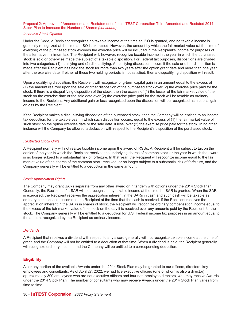#### *Incentive Stock Options*

Under the Code, a Recipient recognizes no taxable income at the time an ISO is granted, and no taxable income is generally recognized at the time an ISO is exercised. However, the amount by which the fair market value (at the time of exercise) of the purchased stock exceeds the exercise price will be included in the Recipient's income for purposes of the alternative minimum tax. The Recipient will, however, recognize taxable income in the year in which the purchased stock is sold or otherwise made the subject of a taxable disposition. For Federal tax purposes, dispositions are divided into two categories: (1) qualifying and (2) disqualifying. A qualifying disposition occurs if the sale or other disposition is made after the Recipient has held the stock for more than two years after the option grant date and more than one year after the exercise date. If either of these two holding periods is not satisfied, then a disqualifying disposition will result.

Upon a qualifying disposition, the Recipient will recognize long-term capital gain in an amount equal to the excess of (1) the amount realized upon the sale or other disposition of the purchased stock over (2) the exercise price paid for the stock. If there is a disqualifying disposition of the stock, then the excess of (1) the lesser of the fair market value of the stock on the exercise date or the sale date over (2) the exercise price paid for the stock will be taxable as ordinary income to the Recipient. Any additional gain or loss recognized upon the disposition will be recognized as a capital gain or loss by the Recipient.

If the Recipient makes a disqualifying disposition of the purchased stock, then the Company will be entitled to an income tax deduction, for the taxable year in which such disposition occurs, equal to the excess of (1) the fair market value of such stock on the option exercise date or the sale date, if less, over (2) the exercise price paid for the stock. In no other instance will the Company be allowed a deduction with respect to the Recipient's disposition of the purchased stock.

#### *Restricted Stock Units*

A Recipient normally will not realize taxable income upon the award of RSUs. A Recipient will be subject to tax on the earlier of the year in which the Recipient receives the underlying shares of common stock or the year in which the award is no longer subject to a substantial risk of forfeiture. In that year, the Recipient will recognize income equal to the fair market value of the shares of the common stock received, or no longer subject to a substantial risk of forfeiture, and the Company generally will be entitled to a deduction in the same amount.

#### *Stock Appreciation Rights*

The Company may grant SARs separate from any other award or in tandem with options under the 2014 Stock Plan. Generally, the Recipient of a SAR will not recognize any taxable income at the time the SAR is granted. When the SAR is exercised, the Recipient receives the appreciation inherent in the SARs in cash and such cash will be taxable as ordinary compensation income to the Recipient at the time that the cash is received. If the Recipient receives the appreciation inherent in the SARs in shares of stock, the Recipient will recognize ordinary compensation income equal to the excess of the fair market value of the stock on the day it is received over any amounts paid by the Recipient for the stock. The Company generally will be entitled to a deduction for U.S. Federal income tax purposes in an amount equal to the amount recognized by the Recipient as ordinary income.

#### *Dividends*

A Recipient that receives a dividend with respect to any award generally will not recognize taxable income at the time of grant, and the Company will not be entitled to a deduction at that time. When a dividend is paid, the Recipient generally will recognize ordinary income, and the Company will be entitled to a corresponding deduction.

#### **Eligibility**

All or any portion of the available Awards under the 2014 Stock Plan may be granted to our officers, directors, key employees and consultants. As of April 27, 2022, we had five executive officers (one of whom is also a director), approximately 300 employees who are not executive officers and four non-employee directors, who may receive Awards under the 2014 Stock Plan. The number of consultants who may receive Awards under the 2014 Stock Plan varies from time to time.

#### 36 – **inTEST Corporation** | *2022 Proxy Statement*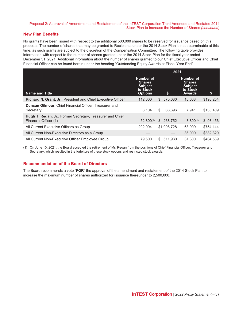#### **New Plan Benefits**

No grants have been issued with respect to the additional 500,000 shares to be reserved for issuance based on this proposal. The number of shares that may be granted to Recipients under the 2014 Stock Plan is not determinable at this time, as such grants are subject to the discretion of the Compensation Committee. The following table provides information with respect to the number of shares granted under the 2014 Stock Plan for the fiscal year ended December 31, 2021. Additional information about the number of shares granted to our Chief Executive Officer and Chief Financial Officer can be found herein under the heading "Outstanding Equity Awards at Fiscal Year End".

|                                                                                    | 2021                                                                       |               |                                                                           |           |  |
|------------------------------------------------------------------------------------|----------------------------------------------------------------------------|---------------|---------------------------------------------------------------------------|-----------|--|
| <b>Name and Title</b>                                                              | Number of<br><b>Shares</b><br><b>Subject</b><br>to Stock<br><b>Options</b> | \$            | Number of<br><b>Shares</b><br><b>Subject</b><br>to Stock<br><b>Awards</b> | \$        |  |
| <b>Richard N. Grant, Jr., President and Chief Executive Officer</b>                | 112,000                                                                    | 570.080<br>S. | 18,668                                                                    | \$198,254 |  |
| <b>Duncan Gilmour, Chief Financial Officer, Treasurer and</b><br>Secretary         | 8.104                                                                      | \$<br>66.696  | 7.941                                                                     | \$133,409 |  |
| Hugh T. Regan, Jr., Former Secretary, Treasurer and Chief<br>Financial Officer (1) | $52,800^{(1)}$                                                             | 268.752<br>S. | 8.800(1)                                                                  | \$93.456  |  |
| All Current Executive Officers as Group                                            | 202.904                                                                    | \$1,098,728   | 63.909                                                                    | \$754.144 |  |
| All Current Non-Executive Directors as a Group                                     |                                                                            |               | 36,000                                                                    | \$382,320 |  |
| All Current Non-Executive Officer Employee Group                                   | 79.500                                                                     | S<br>511.980  | 31.300                                                                    | \$404.569 |  |

(1) On June 10, 2021, the Board accepted the retirement of Mr. Regan from the positions of Chief Financial Officer, Treasurer and Secretary, which resulted in the forfeiture of these stock options and restricted stock awards.

#### **Recommendation of the Board of Directors**

The Board recommends a vote "**FOR**" the approval of the amendment and restatement of the 2014 Stock Plan to increase the maximum number of shares authorized for issuance thereunder to 2,500,000.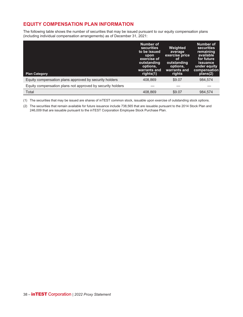## **EQUITY COMPENSATION PLAN INFORMATION**

The following table shows the number of securities that may be issued pursuant to our equity compensation plans (including individual compensation arrangements) as of December 31, 2021:

| <b>Plan Category</b>                                       | Number of<br>securities<br>to be issued<br>upon<br>exercise of<br>outstanding<br>options,<br>warrants and<br>rights(1) | Weighted<br>average<br>exercise price<br><b>of</b><br>outstanding<br>options,<br>warrants and<br>rights | Number of<br>securities<br>remaining<br>available<br>for future<br><b>issuance</b><br>under equity<br>compensation<br>plans(2) |
|------------------------------------------------------------|------------------------------------------------------------------------------------------------------------------------|---------------------------------------------------------------------------------------------------------|--------------------------------------------------------------------------------------------------------------------------------|
| Equity compensation plans approved by security holders     | 408,869                                                                                                                | \$9.07                                                                                                  | 984,574                                                                                                                        |
| Equity compensation plans not approved by security holders |                                                                                                                        |                                                                                                         |                                                                                                                                |
| Total                                                      | 408.869                                                                                                                | \$9.07                                                                                                  | 984.574                                                                                                                        |

(1) The securities that may be issued are shares of inTEST common stock, issuable upon exercise of outstanding stock options.

(2) The securities that remain available for future issuance include 738,565 that are issuable pursuant to the 2014 Stock Plan and 246,009 that are issuable pursuant to the inTEST Corporation Employee Stock Purchase Plan.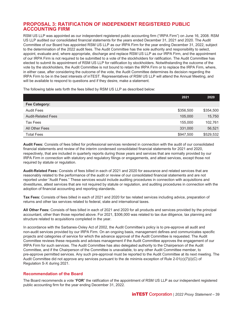## <span id="page-41-0"></span>**PROPOSAL 3: RATIFICATION OF INDEPENDENT REGISTERED PUBLIC ACCOUNTING FIRM**

RSM US LLP was appointed as our independent registered public accounting firm ("IRPA Firm") on June 16, 2008. RSM US LLP audited our consolidated financial statements for the years ended December 31, 2021 and 2020. The Audit Committee of our Board has appointed RSM US LLP as our IRPA Firm for the year ending December 31, 2022, subject to the determination of the 2022 audit fees. The Audit Committee has the sole authority and responsibility to select, appoint, evaluate and, where appropriate, discharge and replace RSM US LLP as our IRPA Firm, and the appointment of our IRPA Firm is not required to be submitted to a vote of the stockholders for ratification. The Audit Committee has elected to submit its appointment of RSM US LLP for ratification by stockholders. Notwithstanding the outcome of the vote by the stockholders, the Audit Committee is not bound to retain the IRPA Firm or to replace the IRPA Firm, where, in either case, after considering the outcome of the vote, the Audit Committee determines its decision regarding the IRPA Firm to be in the best interests of inTEST. Representatives of RSM US LLP will attend the Annual Meeting, and will be available to respond to questions and if they desire, make a statement.

The following table sets forth the fees billed by RSM US LLP as described below:

|                           | 2021      | 2020      |
|---------------------------|-----------|-----------|
| <b>Fee Category:</b>      |           |           |
| <b>Audit Fees</b>         | \$356,500 | \$354,500 |
| <b>Audit-Related Fees</b> | 105,000   | 15,750    |
| Tax Fees                  | 155,000   | 102,761   |
| All Other Fees            | 331,000   | 56,521    |
| <b>Total Fees</b>         | \$947,500 | \$529,532 |

**Audit Fees:** Consists of fees billed for professional services rendered in connection with the audit of our consolidated financial statements and review of the interim condensed consolidated financial statements for 2021 and 2020, respectively, that are included in quarterly reports during those years and services that are normally provided by our IRPA Firm in connection with statutory and regulatory filings or engagements, and attest services, except those not required by statute or regulation.

**Audit-Related Fees:** Consists of fees billed in each of 2021 and 2020 for assurance and related services that are reasonably related to the performance of the audit or review of our consolidated financial statements and are not reported under "Audit Fees." These services would include auditing procedures in connection with acquisitions and divestitures, attest services that are not required by statute or regulation, and auditing procedures in connection with the adoption of financial accounting and reporting standards.

**Tax Fees:** Consists of fees billed in each of 2021 and 2020 for tax related services including advice, preparation of returns and other tax services related to federal, state and international taxes.

**All Other Fees:** Consists of fees billed in each of 2021 and 2020 for all products and services provided by the principal accountant, other than those reported above. For 2021, \$306,000 was related to tax due diligence, tax planning and structure related to acquisitions completed in the year.

In accordance with the Sarbanes-Oxley Act of 2002, the Audit Committee's policy is to pre-approve all audit and non-audit services provided by our IRPA Firm. On an ongoing basis, management defines and communicates specific projects and categories of service for which the advance approval of the Audit Committee is requested. The Audit Committee reviews these requests and advises management if the Audit Committee approves the engagement of our IRPA Firm for such services. The Audit Committee has also delegated authority to the Chairperson of the Audit Committee, and if the Chairperson of the Committee is unavailable, to any other Audit Committee member, to pre-approve permitted services. Any such pre-approval must be reported to the Audit Committee at its next meeting. The Audit Committee did not approve any services pursuant to the de minimis exception of Rule 2-01(c)(7)(i)(C) of Regulation S-X during 2021.

## **Recommendation of the Board**

The Board recommends a vote "**FOR**" the ratification of the appointment of RSM US LLP as our independent registered public accounting firm for the year ending December 31, 2022.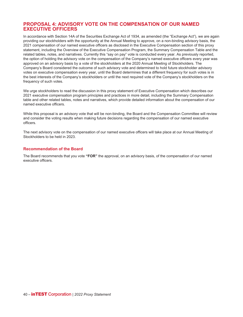## <span id="page-42-0"></span>**PROPOSAL 4: ADVISORY VOTE ON THE COMPENSATION OF OUR NAMED EXECUTIVE OFFICERS**

In accordance with Section 14A of the Securities Exchange Act of 1934, as amended (the "Exchange Act"), we are again providing our stockholders with the opportunity at the Annual Meeting to approve, on a non-binding advisory basis, the 2021 compensation of our named executive officers as disclosed in the Executive Compensation section of this proxy statement, including the Overview of the Executive Compensation Program, the Summary Compensation Table and the related tables, notes, and narratives. Currently this "say on pay" vote is conducted every year. As previously reported, the option of holding the advisory vote on the compensation of the Company's named executive officers every year was approved on an advisory basis by a vote of the stockholders at the 2020 Annual Meeting of Stockholders. The Company's Board considered the outcome of such advisory vote and determined to hold future stockholder advisory votes on executive compensation every year, until the Board determines that a different frequency for such votes is in the best interests of the Company's stockholders or until the next required vote of the Company's stockholders on the frequency of such votes.

We urge stockholders to read the discussion in this proxy statement of Executive Compensation which describes our 2021 executive compensation program principles and practices in more detail, including the Summary Compensation table and other related tables, notes and narratives, which provide detailed information about the compensation of our named executive officers.

While this proposal is an advisory vote that will be non-binding, the Board and the Compensation Committee will review and consider the voting results when making future decisions regarding the compensation of our named executive officers.

The next advisory vote on the compensation of our named executive officers will take place at our Annual Meeting of Stockholders to be held in 2023.

#### **Recommendation of the Board**

The Board recommends that you vote **"FOR"** the approval, on an advisory basis, of the compensation of our named executive officers.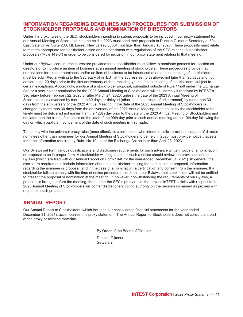### <span id="page-43-0"></span>**INFORMATION REGARDING DEADLINES AND PROCEDURES FOR SUBMISSION OF STOCKHOLDER PROPOSALS AND NOMINATION OF DIRECTORS**

Under the proxy rules of the SEC, stockholders intending to submit proposals to be included in our proxy statement for our Annual Meeting of Stockholders to be held in 2023 must send their proposals to Duncan Gilmour, Secretary at 804 East Gate Drive, Suite 200, Mt. Laurel, New Jersey 08054, not later than January 18, 2023. These proposals must relate to matters appropriate for stockholder action and be consistent with regulations of the SEC relating to stockholder proposals ("Rule 14a-8") in order to be considered for inclusion in our proxy statement relating to that meeting.

Under our Bylaws, certain procedures are provided that a stockholder must follow to nominate persons for election as directors or to introduce an item of business at an annual meeting of stockholders. These procedures provide that nominations for director nominees and/or an item of business to be introduced at an annual meeting of stockholders must be submitted in writing to the Secretary of inTEST at the address set forth above, not later than 90 days and not earlier than 120 days prior to the first anniversary of the preceding year's annual meeting of stockholders, subject to certain exceptions. Accordingly, a notice of a stockholder proposal, submitted outside of Rule 14a-8 under the Exchange Act, or a stockholder nomination for the 2023 Annual Meeting of Stockholders will be untimely if received by inTEST's Secretary before February 22, 2023 or after March 24, 2023, unless the date of the 2023 Annual Meeting of Stockholders is advanced by more than 30 days or delayed (other than as a result of adjournment) by more than 30 days from the anniversary of the 2022 Annual Meeting. If the date of the 2023 Annual Meeting of Stockholders is changed by more than 30 days from the anniversary of the 2022 Annual Meeting, then notice by the stockholder to be timely must be delivered not earlier than the 120th day prior to the date of the 2023 Annual Meeting of Stockholders and not later than the close of business on the later of the 90th day prior to such annual meeting or the 10th day following the day on which public announcement of the date of such meeting is first made.

To comply with the universal proxy rules (once effective), stockholders who intend to solicit proxies in support of director nominees other than nominees for our Annual Meeting of Stockholders to be held in 2023 must provide notice that sets forth the information required by Rule 14a-19 under the Exchange Act no later than April 23, 2023.

Our Bylaws set forth various qualifications and disclosure requirements for such advance written notice of a nomination or proposal to be in proper form. A stockholder wishing to submit such a notice should review the provisions of our Bylaws (which are filed with our Annual Report on Form 10-K for the year ended December 31, 2021). In general, the disclosure requirements include information about the stockholder making the nomination or proposal, information regarding the nominee or proposal, and in the case of a nomination, a certification and consent from the nominee. If a stockholder fails to comply with the time of notice procedures set forth in our Bylaws, that stockholder will not be entitled to present the proposal or nomination at the meeting. If, however, notwithstanding the requirements of our Bylaws, a proposal is brought before the meeting, then under the SEC's proxy rules, the proxies inTEST solicits with respect to the 2023 Annual Meeting of Stockholders will confer discretionary voting authority on the persons so named as proxies with respect to such proposal.

## <span id="page-43-1"></span>**ANNUAL REPORT**

Our Annual Report to Stockholders (which includes our consolidated financial statements for the year ended December 31, 2021), accompanies this proxy statement. The Annual Report to Stockholders does not constitute a part of the proxy solicitation materials.

By Order of the Board of Directors,

Duncan Gilmour *Secretary*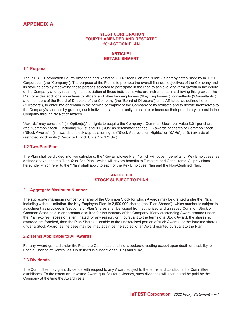## <span id="page-44-0"></span>**APPENDIX A**

#### **inTEST CORPORATION FOURTH AMENDED AND RESTATED 2014 STOCK PLAN**

#### **ARTICLE I ESTABLISHMENT**

#### **1.1 Purpose**

The inTEST Corporation Fourth Amended and Restated 2014 Stock Plan (the "Plan") is hereby established by inTEST Corporation (the "Company"). The purpose of the Plan is to promote the overall financial objectives of the Company and its stockholders by motivating those persons selected to participate in the Plan to achieve long-term growth in the equity of the Company and by retaining the association of those individuals who are instrumental in achieving this growth. The Plan provides additional incentives to officers and other key employees ("Key Employees"), consultants ("Consultants") and members of the Board of Directors of the Company (the "Board of Directors") or its Affiliates, as defined herein ("Directors"), to enter into or remain in the service or employ of the Company or its Affiliates and to devote themselves to the Company's success by granting such individuals an opportunity to acquire or increase their proprietary interest in the Company through receipt of Awards.

"Awards" may consist of: (i) "Option(s)," or rights to acquire the Company's Common Stock, par value \$.01 per share (the "Common Stock"), including "ISOs" and "NQSOs" as hereinafter defined, (ii) awards of shares of Common Stock ("Stock Awards"), (iii) awards of stock appreciation rights ("Stock Appreciation Rights," or "SARs") or (iv) awards of restricted stock units ("Restricted Stock Units," or "RSUs").

#### **1.2 Two-Part Plan**

The Plan shall be divided into two sub-plans: the "Key Employee Plan," which will govern benefits for Key Employees, as defined above, and the "Non-Qualified Plan," which will govern benefits to Directors and Consultants. All provisions hereunder which refer to the "Plan" shall apply to each of the Key Employee Plan and the Non-Qualified Plan.

#### **ARTICLE II STOCK SUBJECT TO PLAN**

#### **2.1 Aggregate Maximum Number**

The aggregate maximum number of shares of the Common Stock for which Awards may be granted under the Plan, including without limitation, the Key Employee Plan, is 2,500,000 shares (the "Plan Shares"), which number is subject to adjustment as provided in Section 9.6. Plan Shares shall be issued from authorized and unissued Common Stock or Common Stock held in or hereafter acquired for the treasury of the Company. If any outstanding Award granted under the Plan expires, lapses or is terminated for any reason, or if, pursuant to the terms of a Stock Award, the shares so awarded are forfeited, then the Plan Shares allocable to the unexercised portion of such Awards, or the forfeited shares under a Stock Award, as the case may be, may again be the subject of an Award granted pursuant to the Plan.

#### **2.2 Terms Applicable to All Awards**

For any Award granted under the Plan, the Committee shall not accelerate vesting except upon death or disability, or upon a Change of Control, as it is defined in subsections 9.1(b) and 9.1(c).

#### **2.3 Dividends**

The Committee may grant dividends with respect to any Award subject to the terms and conditions the Committee establishes. To the extent an unvested Award qualifies for dividends, such dividends will accrue and be paid by the Company at the time the Award vests.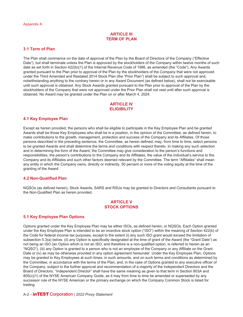#### **ARTICLE III TERM OF PLAN**

#### **3.1 Term of Plan**

The Plan shall commence on the date of approval of the Plan by the Board of Directors of the Company ("Effective Date"), but shall terminate unless the Plan is approved by the stockholders of the Company within twelve months of such date as set forth in Section 422(b)(1) of the Internal Revenue Code of 1986, as amended (the "Code"). Any Awards granted pursuant to the Plan prior to approval of the Plan by the stockholders of the Company that were not approved under the Third Amended and Restated 2014 Stock Plan (the "Prior Plan") shall be subject to such approval and, notwithstanding anything to the contrary herein or in any Award Document (as defined below), shall not be exercisable until such approval is obtained. Any Stock Awards granted pursuant to the Plan prior to approval of the Plan by the stockholders of the Company that were not approved under the Prior Plan shall not vest until after such approval is obtained. No Award may be granted under the Plan on or after March 4, 2024.

#### **ARTICLE IV ELIGIBILITY**

#### **4.1 Key Employee Plan**

Except as herein provided, the persons who shall be eligible to participate in the Key Employee Plan and be granted Awards shall be those Key Employees who shall be in a position, in the opinion of the Committee, as defined herein, to make contributions to the growth, management, protection and success of the Company and its Affiliates. Of those persons described in the preceding sentence, the Committee, as herein defined, may, from time to time, select persons to be granted Awards and shall determine the terms and conditions with respect thereto. In making any such selection and in determining the form of the Award, the Committee may give consideration to the person's functions and responsibilities, the person's contributions to the Company and its Affiliates, the value of the individual's service to the Company and its Affiliates and such other factors deemed relevant by the Committee. The term "Affiliates" shall mean any entity in which the Company owns, directly or indirectly, 50 percent or more of the voting equity at the time of the granting of the Award.

#### **4.2 Non-Qualified Plan**

NQSOs (as defined herein), Stock Awards, SARS and RSUs may be granted to Directors and Consultants pursuant to the Non-Qualified Plan as herein provided.

#### **ARTICLE V STOCK OPTIONS**

#### **5.1 Key Employee Plan Options**

Options granted under the Key Employee Plan may be either ISOs, as defined herein, or NQSOs. Each Option granted under the Key Employee Plan is intended to be an incentive stock option ("ISO") within the meaning of Section 422(b) of the Code for federal income tax purposes, except to the extent (i) any such ISO grant would exceed the limitation of subsection 5.3(a) below, (ii) any Option is specifically designated at the time of grant of the Award (the "Grant Date") as not being an ISO (an Option which is not an ISO, and therefore is a non-qualified option, is referred to herein as an "NQSO"), (iii) any Option is granted to a person who is not an employee of the Company or any Affiliate on the Grant Date or (iv) as may be otherwise provided in any option agreement hereunder. Under the Key Employee Plan, Options may be granted to Key Employees at such times, in such amounts, and on such terms and conditions as determined by the Committee, in accordance with the terms of the Plan, and, in the case of Options granted to any executive officer of the Company, subject to the further approval and recommendation of a majority of the Independent Directors and the Board of Directors. "Independent Director" shall have the same meaning as given to that term in Section 803A and 805(c)(1) of the NYSE American Company Guide, as it may from time to time be amended or superseded by any successor rule of the NYSE American or the primary exchange on which the Company Common Stock is listed for trading.

#### A-2 – **inTEST Corporation** | *2022 Proxy Statement*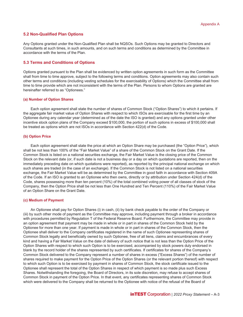#### **5.2 Non-Qualified Plan Options**

Any Options granted under the Non-Qualified Plan shall be NQSOs. Such Options may be granted to Directors and Consultants at such times, in such amounts, and on such terms and conditions as determined by the Committee in accordance with the terms of the Plan.

#### **5.3 Terms and Conditions of Options**

Options granted pursuant to the Plan shall be evidenced by written option agreements in such form as the Committee shall from time to time approve, subject to the following terms and conditions. Option agreements may also contain such other terms and conditions (including vesting schedules for the exercisability of Options) which the Committee shall from time to time provide which are not inconsistent with the terms of the Plan. Persons to whom Options are granted are hereinafter referred to as "Optionees."

#### **(a) Number of Option Shares**

Each option agreement shall state the number of shares of Common Stock ("Option Shares") to which it pertains. If the aggregate fair market value of Option Shares with respect to which ISOs are exercisable for the first time by an Optionee during any calendar year (determined as of the date the ISO is granted) and any options granted under other incentive stock option plans of the Company exceed \$100,000, the portion of such options in excess of \$100,000 shall be treated as options which are not ISOs in accordance with Section 422(d) of the Code.

#### **(b) Option Price**

Each option agreement shall state the price at which an Option Share may be purchased (the "Option Price"), which shall be not less than 100% of the "Fair Market Value" of a share of the Common Stock on the Grant Date. If the Common Stock is listed on a national securities exchange, the Fair Market Value is the closing price of the Common Stock on the relevant date (or, if such date is not a business day or a day on which quotations are reported, then on the immediately preceding date on which quotations were reported), as reported by the principal national exchange on which such shares are traded (in the case of an exchange). If the Common Stock is not listed on a national securities exchange, the Fair Market Value will be as determined by the Committee in good faith in accordance with Section 409A of the Code. If an ISO is granted to an Optionee who then owns, directly or by attribution under Section 424(d) of the Code, shares possessing more than ten percent (10%) of the total combined voting power of all classes of stock of the Company, then the Option Price shall be not less than One Hundred and Ten Percent (110%) of the Fair Market Value of an Option Share on the Grant Date.

#### **(c) Medium of Payment**

An Optionee shall pay for Option Shares (i) in cash, (ii) by bank check payable to the order of the Company or (iii) by such other mode of payment as the Committee may approve, including payment through a broker in accordance with procedures permitted by Regulation T of the Federal Reserve Board. Furthermore, the Committee may provide in an option agreement that payment may be made in whole or in part in shares of the Common Stock held by the Optionee for more than one year. If payment is made in whole or in part in shares of the Common Stock, then the Optionee shall deliver to the Company certificates registered in the name of such Optionee representing shares of Common Stock legally and beneficially owned by such Optionee, free of all liens, claims and encumbrances of every kind and having a Fair Market Value on the date of delivery of such notice that is not less than the Option Price of the Option Shares with respect to which such Option is to be exercised, accompanied by stock powers duly endorsed in blank by the record holder of the shares represented by such certificates. If certificates for shares of the Company's Common Stock delivered to the Company represent a number of shares in excess ("Excess Shares") of the number of shares required to make payment for the Option Price of the Option Shares (or the relevant portion thereof) with respect to which such Option is to be exercised by payment in shares of Common Stock, the stock certificate issued to the Optionee shall represent the total of the Option Shares in respect of which payment is so made plus such Excess Shares. Notwithstanding the foregoing, the Board of Directors, in its sole discretion, may refuse to accept shares of Common Stock in payment of the Option Price. In that event, any certificates representing shares of Common Stock which were delivered to the Company shall be returned to the Optionee with notice of the refusal of the Board of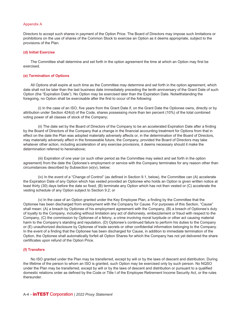#### Appendix A

Directors to accept such shares in payment of the Option Price. The Board of Directors may impose such limitations or prohibitions on the use of shares of the Common Stock to exercise an Option as it deems appropriate, subject to the provisions of the Plan.

#### **(d) Initial Exercise**

The Committee shall determine and set forth in the option agreement the time at which an Option may first be exercised.

#### **(e) Termination of Options**

All Options shall expire at such time as the Committee may determine and set forth in the option agreement, which date shall not be later than the last business date immediately preceding the tenth anniversary of the Grant Date of such Option (the "Expiration Date"). No Option may be exercised later than the Expiration Date. Notwithstanding the foregoing, no Option shall be exercisable after the first to occur of the following:

(i) In the case of an ISO, five years from the Grant Date if, on the Grant Date the Optionee owns, directly or by attribution under Section 424(d) of the Code, shares possessing more than ten percent (10%) of the total combined voting power of all classes of stock of the Company;

(ii) The date set by the Board of Directors of the Company to be an accelerated Expiration Date after a finding by the Board of Directors of the Company that a change in the financial accounting treatment for Options from that in effect on the date the Plan was adopted materially adversely affects or, in the determination of the Board of Directors, may materially adversely affect in the foreseeable future, the Company, provided the Board of Directors may take whatever other action, including acceleration of any exercise provisions, it deems necessary should it make the determination referred to hereinabove;

(iii) Expiration of one year (or such other period as the Committee may select and set forth in the option agreement) from the date the Optionee's employment or service with the Company terminates for any reason other than circumstances described by Subsection (e)(v), below;

(iv) In the event of a "Change of Control" (as defined in Section 9.1, below), the Committee can (A) accelerate the Expiration Date of any Option which has vested provided an Optionee who holds an Option is given written notice at least thirty (30) days before the date so fixed, (B) terminate any Option which has not then vested or (C) accelerate the vesting schedule of any Option subject to Section 9.2; or

(v) In the case of an Option granted under the Key Employee Plan, a finding by the Committee that the Optionee has been discharged from employment with the Company for Cause. For purposes of this Section, "Cause" shall mean: (A) a breach by Optionee of his employment agreement with the Company, (B) a breach of Optionee's duty of loyalty to the Company, including without limitation any act of dishonesty, embezzlement or fraud with respect to the Company, (C) the commission by Optionee of a felony, a crime involving moral turpitude or other act causing material harm to the Company's standing and reputation, (D) Optionee's continued failure to perform his duties to the Company or (E) unauthorized disclosure by Optionee of trade secrets or other confidential information belonging to the Company. In the event of a finding that the Optionee has been discharged for Cause, in addition to immediate termination of the Option, the Optionee shall automatically forfeit all Option Shares for which the Company has not yet delivered the share certificates upon refund of the Option Price.

#### **(f) Transfers**

No ISO granted under the Plan may be transferred, except by will or by the laws of descent and distribution. During the lifetime of the person to whom an ISO is granted, such Option may be exercised only by such person. No NQSO under the Plan may be transferred, except by will or by the laws of descent and distribution or pursuant to a qualified domestic relations order as defined by the Code or Title I of the Employee Retirement Income Security Act, or the rules thereunder.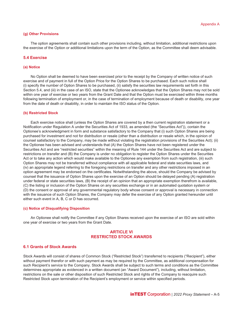#### **(g) Other Provisions**

The option agreements shall contain such other provisions including, without limitation, additional restrictions upon the exercise of the Option or additional limitations upon the term of the Option, as the Committee shall deem advisable.

#### **5.4 Exercise**

#### **(a) Notice**

No Option shall be deemed to have been exercised prior to the receipt by the Company of written notice of such exercise and of payment in full of the Option Price for the Option Shares to be purchased. Each such notice shall (i) specify the number of Option Shares to be purchased, (ii) satisfy the securities law requirements set forth in this Section 5.4, and (iii) in the case of an ISO, state that the Optionee acknowledges that the Option Shares may not be sold within one year of exercise or two years from the Grant Date and that the Option must be exercised within three months following termination of employment or, in the case of termination of employment because of death or disability, one year from the date of death or disability, in order to maintain the ISO status of the Option.

#### **(b) Restricted Stock**

Each exercise notice shall (unless the Option Shares are covered by a then current registration statement or a Notification under Regulation A under the Securities Act of 1933, as amended (the "Securities Act")), contain the Optionee's acknowledgment in form and substance satisfactory to the Company that (i) such Option Shares are being purchased for investment and not for distribution or resale (other than a distribution or resale which, in the opinion of counsel satisfactory to the Company, may be made without violating the registration provisions of the Securities Act); (ii) the Optionee has been advised and understands that (A) the Option Shares have not been registered under the Securities Act and are "restricted securities" within the meaning of Rule 144 under the Securities Act and are subject to restrictions on transfer and (B) the Company is under no obligation to register the Option Shares under the Securities Act or to take any action which would make available to the Optionee any exemption from such registration, (iii) such Option Shares may not be transferred without compliance with all applicable federal and state securities laws, and (iv) an appropriate legend referring to the foregoing restrictions on transfer and any other restrictions imposed in an option agreement may be endorsed on the certificates. Notwithstanding the above, should the Company be advised by counsel that the issuance of Option Shares upon the exercise of an Option should be delayed pending (A) registration under federal or state securities laws, (B) the receipt of an opinion that an appropriate exemption therefrom is available, (C) the listing or inclusion of the Option Shares on any securities exchange or in an automated quotation system or (D) the consent or approval of any governmental regulatory body whose consent or approval is necessary in connection with the issuance of such Option Shares, the Company may defer the exercise of any Option granted hereunder until either such event in A, B, C or D has occurred.

#### **(c) Notice of Disqualifying Disposition**

An Optionee shall notify the Committee if any Option Shares received upon the exercise of an ISO are sold within one year of exercise or two years from the Grant Date.

#### **ARTICLE VI RESTRICTED STOCK AWARDS**

#### **6.1 Grants of Stock Awards**

Stock Awards will consist of shares of Common Stock ("Restricted Stock") transferred to recipients ("Recipient"), either without payment therefor or with such payment as may be required by the Committee, as additional compensation for such Recipient's service to the Company. Stock Awards shall be subject to such terms and conditions as the Committee determines appropriate as evidenced in a written document (an "Award Document"), including, without limitation, restrictions on the sale or other disposition of such Restricted Stock and rights of the Company to reacquire such Restricted Stock upon termination of the Recipient's employment or service within specified periods.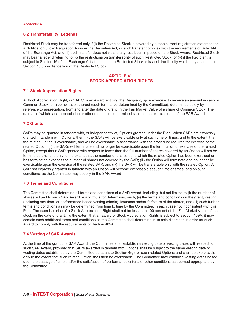#### **6.2 Transferability; Legends**

Restricted Stock may be transferred only if (i) the Restricted Stock is covered by a then current registration statement or a Notification under Regulation A under the Securities Act, or such transfer complies with the requirements of Rule 144 of the Exchange Act; and (ii) such transfer does not violate any restriction imposed on the Stock Award. Restricted Stock may bear a legend referring to  $(x)$  the restrictions on transferability of such Restricted Stock, or  $(y)$  if the Recipient is subject to Section 16 of the Exchange Act at the time the Restricted Stock is issued, the liability which may arise under Section 16 upon disposition of the Restricted Stock.

#### **ARTICLE VII STOCK APPRECIATION RIGHTS**

#### **7.1 Stock Appreciation Rights**

A Stock Appreciation Right, or "SAR," is an Award entitling the Recipient, upon exercise, to receive an amount in cash or Common Stock, or a combination thereof (such form to be determined by the Committee), determined solely by reference to appreciation, from and after the date of grant, in the Fair Market Value of a share of Common Stock. The date as of which such appreciation or other measure is determined shall be the exercise date of the SAR Award.

#### **7.2 Grants**

SARs may be granted in tandem with, or independently of, Options granted under the Plan. When SARs are expressly granted in tandem with Options, then (i) the SARs will be exercisable only at such time or times, and to the extent, that the related Option is exercisable, and will be exercisable in accordance with the procedure required for exercise of the related Option; (ii) the SARs will terminate and no longer be exercisable upon the termination or exercise of the related Option, except that a SAR granted with respect to fewer than the full number of shares covered by an Option will not be terminated until and only to the extent that the number of shares as to which the related Option has been exercised or has terminated exceeds the number of shares not covered by the SAR; (iii) the Option will terminate and no longer be exercisable upon the exercise of the related SAR; and (iv) the SAR will be transferable only with the related Option. A SAR not expressly granted in tandem with an Option will become exercisable at such time or times, and on such conditions, as the Committee may specify in the SAR Award.

#### **7.3 Terms and Conditions**

The Committee shall determine all terms and conditions of a SAR Award, including, but not limited to (i) the number of shares subject to such SAR Award or a formula for determining such, (ii) the terms and conditions on the grant, vesting (including any time- or performance-based vesting criteria), issuance and/or forfeiture of the shares, and (iii) such further terms and conditions as may be determined from time to time by the Committee, in each case not inconsistent with this Plan. The exercise price of a Stock Appreciation Right shall not be less than 100 percent of the Fair Market Value of the stock on the date of grant. To the extent that an award of Stock Appreciation Rights is subject to Section 409A, it may contain such additional terms and conditions as the Committee shall determine in its sole discretion in order for such Award to comply with the requirements of Section 409A.

#### **7.4 Vesting of SAR Awards**

At the time of the grant of a SAR Award, the Committee shall establish a vesting date or vesting dates with respect to such SAR Award, provided that SARs awarded in tandem with Options shall be subject to the same vesting date or vesting dates established by the Committee pursuant to Section 4(g) for such related Options and shall be exercisable only to the extent that such related Option shall then be exercisable. The Committee may establish vesting dates based upon the passage of time and/or the satisfaction of performance criteria or other conditions as deemed appropriate by the Committee.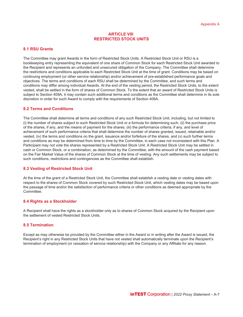#### **ARTICLE VIII RESTRICTED STOCK UNITS**

#### **8.1 RSU Grants**

The Committee may grant Awards in the form of Restricted Stock Units. A Restricted Stock Unit or RSU is a bookkeeping entry representing the equivalent of one share of Common Stock for each Restricted Stock Unit awarded to the Recipient and represents an unfunded and unsecured obligation of the Company. The Committee shall determine the restrictions and conditions applicable to each Restricted Stock Unit at the time of grant. Conditions may be based on continuing employment (or other service relationship) and/or achievement of pre-established performance goals and objectives. The terms and conditions of each RSU shall be determined by the Committee, and such terms and conditions may differ among individual Awards. At the end of the vesting period, the Restricted Stock Units, to the extent vested, shall be settled in the form of shares of Common Stock. To the extent that an award of Restricted Stock Units is subject to Section 409A, it may contain such additional terms and conditions as the Committee shall determine in its sole discretion in order for such Award to comply with the requirements of Section 409A.

#### **8.2 Terms and Conditions**

The Committee shall determine all terms and conditions of any such Restricted Stock Unit, including, but not limited to (i) the number of shares subject to such Restricted Stock Unit or a formula for determining such, (ii) the purchase price of the shares, if any, and the means of payment for the shares, (iii) the performance criteria, if any, and level of achievement of such performance criteria that shall determine the number of shares granted, issued, retainable and/or vested, (iv) the terms and conditions on the grant, issuance and/or forfeiture of the shares, and (v) such further terms and conditions as may be determined from time to time by the Committee, in each case not inconsistent with this Plan. A Participant may not vote the shares represented by a Restricted Stock Unit. A Restricted Stock Unit may be settled in cash or Common Stock, or a combination, as determined by the Committee, with the amount of the cash payment based on the Fair Market Value of the shares of Common Stock at the time of vesting. Any such settlements may be subject to such conditions, restrictions and contingencies as the Committee shall establish.

#### **8.3 Vesting of Restricted Stock Unit**

At the time of the grant of a Restricted Stock Unit, the Committee shall establish a vesting date or vesting dates with respect to the shares of Common Stock covered by such Restricted Stock Unit, which vesting dates may be based upon the passage of time and/or the satisfaction of performance criteria or other conditions as deemed appropriate by the Committee.

#### **8.4 Rights as a Stockholder**

A Recipient shall have the rights as a stockholder only as to shares of Common Stock acquired by the Recipient upon the settlement of vested Restricted Stock Units.

#### **8.5 Termination**

Except as may otherwise be provided by the Committee either in the Award or in writing after the Award is issued, the Recipient's right in any Restricted Stock Units that have not vested shall automatically terminate upon the Recipient's termination of employment (or cessation of service relationship) with the Company or any Affiliate for any reason.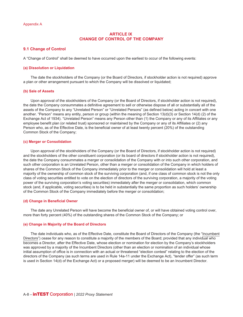#### **ARTICLE IX CHANGE OF CONTROL OF THE COMPANY**

#### **9.1 Change of Control**

A "Change of Control" shall be deemed to have occurred upon the earliest to occur of the following events:

#### **(a) Dissolution or Liquidation**

The date the stockholders of the Company (or the Board of Directors, if stockholder action is not required) approve a plan or other arrangement pursuant to which the Company will be dissolved or liquidated;

#### **(b) Sale of Assets**

Upon approval of the stockholders of the Company (or the Board of Directors, if stockholder action is not required), the date the Company consummates a definitive agreement to sell or otherwise dispose of all or substantially all of the assets of the Company to any "Unrelated Person" or "Unrelated Persons" (as defined below) acting in concert with one another. "Person" means any entity, person or group (within the meaning of Section 13(d)(3) or Section 14(d) (2) of the Exchange Act of 1934). "Unrelated Person" means any Person other than (1) the Company or any of its Affiliates or any employee benefit plan (or related trust) sponsored or maintained by the Company or any of its Affiliates or (2) any Person who, as of the Effective Date, is the beneficial owner of at least twenty percent (20%) of the outstanding Common Stock of the Company;

#### **(c) Merger or Consolidation**

Upon approval of the stockholders of the Company (or the Board of Directors, if stockholder action is not required) and the stockholders of the other constituent corporation (or its board of directors if stockholder action is not required), the date the Company consummates a merger or consolidation of the Company with or into such other corporation, and such other corporation is an Unrelated Person, other than a merger or consolidation of the Company in which holders of shares of the Common Stock of the Company immediately prior to the merger or consolidation will hold at least a majority of the ownership of common stock of the surviving corporation (and, if one class of common stock is not the only class of voting securities entitled to vote on the election of directors of the surviving corporation, a majority of the voting power of the surviving corporation's voting securities) immediately after the merger or consolidation, which common stock (and, if applicable, voting securities) is to be held in substantially the same proportion as such holders' ownership of the Common Stock of the Company immediately before the merger or consolidation;

#### **(d) Change in Beneficial Owner**

The date any Unrelated Person will have become the beneficial owner of, or will have obtained voting control over, more than forty percent (40%) of the outstanding shares of the Common Stock of the Company; or

#### **(e) Change in Majority of the Board of Directors**

The date individuals who, as of the Effective Date, constitute the Board of Directors of the Company (the "Incumbent Directors") cease for any reason to constitute a majority of the members of the Board; provided that any individual who becomes a Director, after the Effective Date, whose election or nomination for election by the Company's stockholders was approved by a majority of the Incumbent Directors (other than an election or nomination of an individual whose initial assumption of office is in connection with an actual or threatened "election contest" relating to the election of the directors of the Company (as such terms are used in Rule 14a-11 under the Exchange Act), "tender offer" (as such term is used in Section 14(d) of the Exchange Act) or a proposed merger) will be deemed to be an Incumbent Director.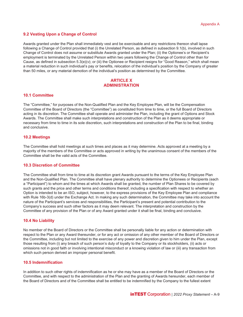#### **9.2 Vesting Upon a Change of Control**

Awards granted under the Plan shall immediately vest and be exercisable and any restrictions thereon shall lapse following a Change of Control provided that (i) the Unrelated Person, as defined in subsection 9.1(b), involved in such Change of Control does not assume or substitute Awards granted under the Plan; (ii) the Optionee's or Recipient's employment is terminated by the Unrelated Person within two years following the Change of Control other than for Cause, as defined in subsection 5.3(e)(v); or (iii) the Optionee or Recipient resigns for "Good Reason," which shall mean a material reduction in such individual's pay or benefits, relocation of the individual's position by the Company of greater than 50 miles, or any material demotion of the individual's position as determined by the Committee.

#### **ARTICLE X ADMINISTRATION**

#### **10.1 Committee**

The "Committee," for purposes of the Non-Qualified Plan and the Key Employee Plan, will be the Compensation Committee of the Board of Directors (the "Committee") as constituted from time to time, or the full Board of Directors acting in its discretion. The Committee shall operate and administer the Plan, including the grant of Options and Stock Awards. The Committee shall make such interpretations and construction of the Plan as it deems appropriate or necessary from time to time in its sole discretion, such interpretations and construction of the Plan to be final, binding and conclusive.

#### **10.2 Meetings**

The Committee shall hold meetings at such times and places as it may determine. Acts approved at a meeting by a majority of the members of the Committee or acts approved in writing by the unanimous consent of the members of the Committee shall be the valid acts of the Committee.

#### **10.3 Discretion of Committee**

The Committee shall from time to time at its discretion grant Awards pursuant to the terms of the Key Employee Plan and the Non-Qualified Plan. The Committee shall have plenary authority to determine the Optionees or Recipients (each a "Participant") to whom and the times at which Awards shall be granted, the number of Plan Shares to be covered by such grants and the price and other terms and conditions thereof, including a specification with respect to whether an Option is intended to be an ISO, subject, however, to the express provisions of the Key Employee Plan and compliance with Rule 16b-3(d) under the Exchange Act. In making any such determination, the Committee may take into account the nature of the Participant's services and responsibilities, the Participant's present and potential contribution to the Company's success and such other factors as it may deem relevant. The interpretation and construction by the Committee of any provision of the Plan or of any Award granted under it shall be final, binding and conclusive.

#### **10.4 No Liability**

No member of the Board of Directors or the Committee shall be personally liable for any action or determination with respect to the Plan or any Award thereunder, or for any act or omission of any other member of the Board of Directors or the Committee, including but not limited to the exercise of any power and discretion given to him under the Plan, except those resulting from (i) any breach of such person's duty of loyalty to the Company or its stockholders, (ii) acts or omissions not in good faith or involving intentional misconduct or a knowing violation of law or (iii) any transaction from which such person derived an improper personal benefit.

#### **10.5 Indemnification**

In addition to such other rights of indemnification as he or she may have as a member of the Board of Directors or the Committee, and with respect to the administration of the Plan and the granting of Awards hereunder, each member of the Board of Directors and of the Committee shall be entitled to be indemnified by the Company to the fullest extent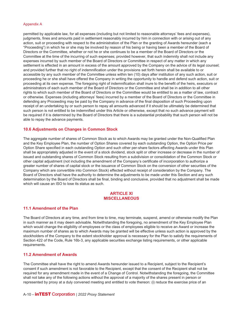#### Appendix A

permitted by applicable law, for all expenses (including but not limited to reasonable attorneys' fees and expenses), judgments, fines and amounts paid in settlement reasonably incurred by him in connection with or arising out of any action, suit or proceeding with respect to the administration of the Plan or the granting of Awards hereunder (each a "Proceeding") in which he or she may be involved by reason of his being or having been a member of the Board of Directors or the Committee, whether or not he or she continues to be a member of the Board of Directors or the Committee at the time of the incurring of such expenses; provided however, that such indemnity shall not include any expenses incurred by such member of the Board of Directors or Committee in respect of any matter in which any settlement is effected in an amount in excess of the amount approved by the Company on the advice of its legal counsel; and provided further that no right of indemnification under the provisions set forth herein shall be available to or accessible by any such member of the Committee unless within ten (10) days after institution of any such action, suit or proceeding he or she shall have offered the Company in writing the opportunity to handle and defend such action, suit or proceeding at its own expense. The foregoing right of indemnification shall inure to the benefit of the heirs, executors or administrators of each such member of the Board of Directors or the Committee and shall be in addition to all other rights to which such member of the Board of Directors or the Committee would be entitled to as a matter of law, contract or otherwise. Expenses (including attorneys' fees) incurred by a member of the Board of Directors or the Committee in defending any Proceeding may be paid by the Company in advance of the final disposition of such Proceeding upon receipt of an undertaking by or such person to repay all amounts advanced if it should be ultimately be determined that such person is not entitled to be indemnified under this Article or otherwise, except that no such advance payment will be required if it is determined by the Board of Directors that there is a substantial probability that such person will not be able to repay the advance payments.

#### **10.6 Adjustments on Changes in Common Stock**

The aggregate number of shares of Common Stock as to which Awards may be granted under the Non-Qualified Plan and the Key Employee Plan, the number of Option Shares covered by each outstanding Option, the Option Price per Option Share specified in each outstanding Option and such other per-share factors affecting Awards under this Plan shall be appropriately adjusted in the event of a stock dividend, stock split or other increase or decrease in the number of issued and outstanding shares of Common Stock resulting from a subdivision or consolidation of the Common Stock or other capital adjustment (not including the amendment of the Company's certificate of incorporation to authorize a greater number of shares of capital stock or the issuance of Common Stock on the conversion of other securities of the Company which are convertible into Common Stock) effected without receipt of consideration by the Company. The Board of Directors shall have the authority to determine the adjustments to be made under this Section and any such determination by the Board of Directors shall be final, binding and conclusive, provided that no adjustment shall be made which will cause an ISO to lose its status as such.

#### **ARTICLE XI MISCELLANEOUS**

#### **11.1 Amendment of the Plan**

The Board of Directors at any time, and from time to time, may terminate, suspend, amend or otherwise modify the Plan in such manner as it may deem advisable. Notwithstanding the foregoing, no amendment of the Key Employee Plan which would change the eligibility of employees or the class of employees eligible to receive an Award or increase the maximum number of shares as to which Awards may be granted will be effective unless such action is approved by the stockholders of the Company to the extent stockholder approval is necessary for the Plan to satisfy the requirements of Section 422 of the Code, Rule 16b-3, any applicable securities exchange listing requirements, or other applicable requirements.

#### **11.2 Amendment of Awards**

The Committee shall have the right to amend Awards hereunder issued to a Recipient, subject to the Recipient's consent if such amendment is not favorable to the Recipient, except that the consent of the Recipient shall not be required for any amendment made in the event of a Change of Control. Notwithstanding the foregoing, the Committee shall not take any of the following actions without the approval of a majority of the shares present in person or represented by proxy at a duly convened meeting and entitled to vote thereon: (i) reduce the exercise price of an